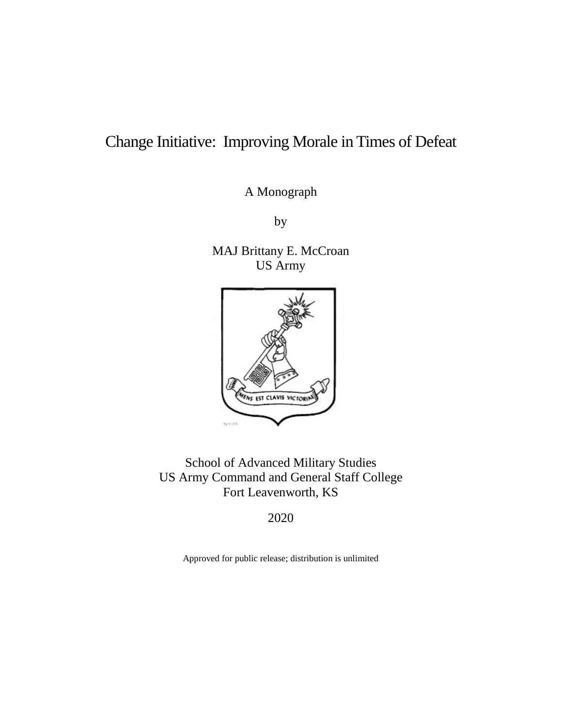# Change Initiative: Improving Morale in Times of Defeat

A Monograph

by

MAJ Brittany E. McCroan US Army



School of Advanced Military Studies US Army Command and General Staff College Fort Leavenworth, KS

2020

Approved for public release; distribution is unlimited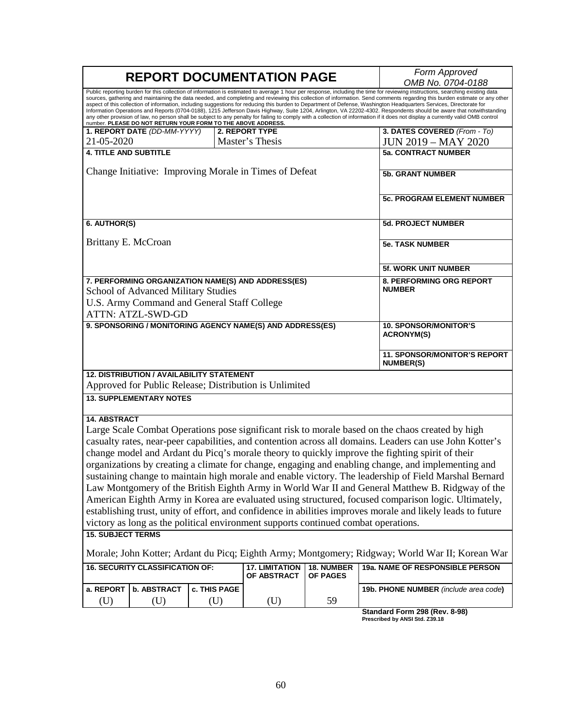| Public reporting burden for this collection of information is estimated to average 1 hour per response, including the time for reviewing instructions, searching existing data<br>sources, gathering and maintaining the data needed, and completing and reviewing this collection of information. Send comments regarding this burden estimate or any other<br>aspect of this collection of information, including suggestions for reducing this burden to Department of Defense, Washington Headquarters Services, Directorate for<br>Information Operations and Reports (0704-0188), 1215 Jefferson Davis Highway, Suite 1204, Arlington, VA 22202-4302. Respondents should be aware that notwithstanding<br>any other provision of law, no person shall be subject to any penalty for failing to comply with a collection of information if it does not display a currently valid OMB control<br>number. PLEASE DO NOT RETURN YOUR FORM TO THE ABOVE ADDRESS.<br>3. DATES COVERED (From - To)<br>1. REPORT DATE (DD-MM-YYYY)<br>2. REPORT TYPE<br>21-05-2020<br>Master's Thesis<br><b>JUN 2019 - MAY 2020</b><br><b>4. TITLE AND SUBTITLE</b><br><b>5a. CONTRACT NUMBER</b><br>Change Initiative: Improving Morale in Times of Defeat<br><b>5b. GRANT NUMBER</b><br>5c. PROGRAM ELEMENT NUMBER<br>6. AUTHOR(S)<br><b>5d. PROJECT NUMBER</b><br>Brittany E. McCroan<br><b>5e. TASK NUMBER</b><br><b>5f. WORK UNIT NUMBER</b><br>7. PERFORMING ORGANIZATION NAME(S) AND ADDRESS(ES)<br>8. PERFORMING ORG REPORT<br><b>NUMBER</b><br>School of Advanced Military Studies<br>U.S. Army Command and General Staff College<br><b>ATTN: ATZL-SWD-GD</b><br>9. SPONSORING / MONITORING AGENCY NAME(S) AND ADDRESS(ES)<br><b>10. SPONSOR/MONITOR'S</b><br><b>ACRONYM(S)</b><br><b>NUMBER(S)</b><br><b>12. DISTRIBUTION / AVAILABILITY STATEMENT</b><br>Approved for Public Release; Distribution is Unlimited<br><b>13. SUPPLEMENTARY NOTES</b><br><b>14. ABSTRACT</b><br>Large Scale Combat Operations pose significant risk to morale based on the chaos created by high<br>casualty rates, near-peer capabilities, and contention across all domains. Leaders can use John Kotter's<br>change model and Ardant du Picq's morale theory to quickly improve the fighting spirit of their<br>organizations by creating a climate for change, engaging and enabling change, and implementing and<br>sustaining change to maintain high morale and enable victory. The leadership of Field Marshal Bernard<br>Law Montgomery of the British Eighth Army in World War II and General Matthew B. Ridgway of the<br>American Eighth Army in Korea are evaluated using structured, focused comparison logic. Ultimately,<br>establishing trust, unity of effort, and confidence in abilities improves morale and likely leads to future<br>victory as long as the political environment supports continued combat operations.<br><b>15. SUBJECT TERMS</b><br>Morale; John Kotter; Ardant du Picq; Eighth Army; Montgomery; Ridgway; World War II; Korean War<br><b>16. SECURITY CLASSIFICATION OF:</b><br>19a. NAME OF RESPONSIBLE PERSON<br><b>17. LIMITATION</b><br><b>18. NUMBER</b><br>OF ABSTRACT<br><b>OF PAGES</b><br><b>b. ABSTRACT</b><br>a. REPORT<br>c. THIS PAGE<br>19b. PHONE NUMBER (include area code)<br>(U)<br>59<br>(U)<br>(U)<br>(U) |  |  |  | <b>REPORT DOCUMENTATION PAGE</b> |  | Form Approved<br>OMB No. 0704-0188  |
|----------------------------------------------------------------------------------------------------------------------------------------------------------------------------------------------------------------------------------------------------------------------------------------------------------------------------------------------------------------------------------------------------------------------------------------------------------------------------------------------------------------------------------------------------------------------------------------------------------------------------------------------------------------------------------------------------------------------------------------------------------------------------------------------------------------------------------------------------------------------------------------------------------------------------------------------------------------------------------------------------------------------------------------------------------------------------------------------------------------------------------------------------------------------------------------------------------------------------------------------------------------------------------------------------------------------------------------------------------------------------------------------------------------------------------------------------------------------------------------------------------------------------------------------------------------------------------------------------------------------------------------------------------------------------------------------------------------------------------------------------------------------------------------------------------------------------------------------------------------------------------------------------------------------------------------------------------------------------------------------------------------------------------------------------------------------------------------------------------------------------------------------------------------------------------------------------------------------------------------------------------------------------------------------------------------------------------------------------------------------------------------------------------------------------------------------------------------------------------------------------------------------------------------------------------------------------------------------------------------------------------------------------------------------------------------------------------------------------------------------------------------------------------------------------------------------------------------------------------------------------------------------------------------------------------------------------------------------------------------------------------------------------------------------------------------------------------------------------------------------------------------------------------------------------------------------------------------------------------------------------------------------------------------------------------------------------------------------|--|--|--|----------------------------------|--|-------------------------------------|
|                                                                                                                                                                                                                                                                                                                                                                                                                                                                                                                                                                                                                                                                                                                                                                                                                                                                                                                                                                                                                                                                                                                                                                                                                                                                                                                                                                                                                                                                                                                                                                                                                                                                                                                                                                                                                                                                                                                                                                                                                                                                                                                                                                                                                                                                                                                                                                                                                                                                                                                                                                                                                                                                                                                                                                                                                                                                                                                                                                                                                                                                                                                                                                                                                                                                                                                                              |  |  |  |                                  |  |                                     |
|                                                                                                                                                                                                                                                                                                                                                                                                                                                                                                                                                                                                                                                                                                                                                                                                                                                                                                                                                                                                                                                                                                                                                                                                                                                                                                                                                                                                                                                                                                                                                                                                                                                                                                                                                                                                                                                                                                                                                                                                                                                                                                                                                                                                                                                                                                                                                                                                                                                                                                                                                                                                                                                                                                                                                                                                                                                                                                                                                                                                                                                                                                                                                                                                                                                                                                                                              |  |  |  |                                  |  |                                     |
|                                                                                                                                                                                                                                                                                                                                                                                                                                                                                                                                                                                                                                                                                                                                                                                                                                                                                                                                                                                                                                                                                                                                                                                                                                                                                                                                                                                                                                                                                                                                                                                                                                                                                                                                                                                                                                                                                                                                                                                                                                                                                                                                                                                                                                                                                                                                                                                                                                                                                                                                                                                                                                                                                                                                                                                                                                                                                                                                                                                                                                                                                                                                                                                                                                                                                                                                              |  |  |  |                                  |  |                                     |
|                                                                                                                                                                                                                                                                                                                                                                                                                                                                                                                                                                                                                                                                                                                                                                                                                                                                                                                                                                                                                                                                                                                                                                                                                                                                                                                                                                                                                                                                                                                                                                                                                                                                                                                                                                                                                                                                                                                                                                                                                                                                                                                                                                                                                                                                                                                                                                                                                                                                                                                                                                                                                                                                                                                                                                                                                                                                                                                                                                                                                                                                                                                                                                                                                                                                                                                                              |  |  |  |                                  |  |                                     |
|                                                                                                                                                                                                                                                                                                                                                                                                                                                                                                                                                                                                                                                                                                                                                                                                                                                                                                                                                                                                                                                                                                                                                                                                                                                                                                                                                                                                                                                                                                                                                                                                                                                                                                                                                                                                                                                                                                                                                                                                                                                                                                                                                                                                                                                                                                                                                                                                                                                                                                                                                                                                                                                                                                                                                                                                                                                                                                                                                                                                                                                                                                                                                                                                                                                                                                                                              |  |  |  |                                  |  |                                     |
|                                                                                                                                                                                                                                                                                                                                                                                                                                                                                                                                                                                                                                                                                                                                                                                                                                                                                                                                                                                                                                                                                                                                                                                                                                                                                                                                                                                                                                                                                                                                                                                                                                                                                                                                                                                                                                                                                                                                                                                                                                                                                                                                                                                                                                                                                                                                                                                                                                                                                                                                                                                                                                                                                                                                                                                                                                                                                                                                                                                                                                                                                                                                                                                                                                                                                                                                              |  |  |  |                                  |  |                                     |
|                                                                                                                                                                                                                                                                                                                                                                                                                                                                                                                                                                                                                                                                                                                                                                                                                                                                                                                                                                                                                                                                                                                                                                                                                                                                                                                                                                                                                                                                                                                                                                                                                                                                                                                                                                                                                                                                                                                                                                                                                                                                                                                                                                                                                                                                                                                                                                                                                                                                                                                                                                                                                                                                                                                                                                                                                                                                                                                                                                                                                                                                                                                                                                                                                                                                                                                                              |  |  |  |                                  |  |                                     |
|                                                                                                                                                                                                                                                                                                                                                                                                                                                                                                                                                                                                                                                                                                                                                                                                                                                                                                                                                                                                                                                                                                                                                                                                                                                                                                                                                                                                                                                                                                                                                                                                                                                                                                                                                                                                                                                                                                                                                                                                                                                                                                                                                                                                                                                                                                                                                                                                                                                                                                                                                                                                                                                                                                                                                                                                                                                                                                                                                                                                                                                                                                                                                                                                                                                                                                                                              |  |  |  |                                  |  |                                     |
|                                                                                                                                                                                                                                                                                                                                                                                                                                                                                                                                                                                                                                                                                                                                                                                                                                                                                                                                                                                                                                                                                                                                                                                                                                                                                                                                                                                                                                                                                                                                                                                                                                                                                                                                                                                                                                                                                                                                                                                                                                                                                                                                                                                                                                                                                                                                                                                                                                                                                                                                                                                                                                                                                                                                                                                                                                                                                                                                                                                                                                                                                                                                                                                                                                                                                                                                              |  |  |  |                                  |  |                                     |
|                                                                                                                                                                                                                                                                                                                                                                                                                                                                                                                                                                                                                                                                                                                                                                                                                                                                                                                                                                                                                                                                                                                                                                                                                                                                                                                                                                                                                                                                                                                                                                                                                                                                                                                                                                                                                                                                                                                                                                                                                                                                                                                                                                                                                                                                                                                                                                                                                                                                                                                                                                                                                                                                                                                                                                                                                                                                                                                                                                                                                                                                                                                                                                                                                                                                                                                                              |  |  |  |                                  |  |                                     |
|                                                                                                                                                                                                                                                                                                                                                                                                                                                                                                                                                                                                                                                                                                                                                                                                                                                                                                                                                                                                                                                                                                                                                                                                                                                                                                                                                                                                                                                                                                                                                                                                                                                                                                                                                                                                                                                                                                                                                                                                                                                                                                                                                                                                                                                                                                                                                                                                                                                                                                                                                                                                                                                                                                                                                                                                                                                                                                                                                                                                                                                                                                                                                                                                                                                                                                                                              |  |  |  |                                  |  | <b>11. SPONSOR/MONITOR'S REPORT</b> |
|                                                                                                                                                                                                                                                                                                                                                                                                                                                                                                                                                                                                                                                                                                                                                                                                                                                                                                                                                                                                                                                                                                                                                                                                                                                                                                                                                                                                                                                                                                                                                                                                                                                                                                                                                                                                                                                                                                                                                                                                                                                                                                                                                                                                                                                                                                                                                                                                                                                                                                                                                                                                                                                                                                                                                                                                                                                                                                                                                                                                                                                                                                                                                                                                                                                                                                                                              |  |  |  |                                  |  |                                     |
|                                                                                                                                                                                                                                                                                                                                                                                                                                                                                                                                                                                                                                                                                                                                                                                                                                                                                                                                                                                                                                                                                                                                                                                                                                                                                                                                                                                                                                                                                                                                                                                                                                                                                                                                                                                                                                                                                                                                                                                                                                                                                                                                                                                                                                                                                                                                                                                                                                                                                                                                                                                                                                                                                                                                                                                                                                                                                                                                                                                                                                                                                                                                                                                                                                                                                                                                              |  |  |  |                                  |  |                                     |
|                                                                                                                                                                                                                                                                                                                                                                                                                                                                                                                                                                                                                                                                                                                                                                                                                                                                                                                                                                                                                                                                                                                                                                                                                                                                                                                                                                                                                                                                                                                                                                                                                                                                                                                                                                                                                                                                                                                                                                                                                                                                                                                                                                                                                                                                                                                                                                                                                                                                                                                                                                                                                                                                                                                                                                                                                                                                                                                                                                                                                                                                                                                                                                                                                                                                                                                                              |  |  |  |                                  |  |                                     |
|                                                                                                                                                                                                                                                                                                                                                                                                                                                                                                                                                                                                                                                                                                                                                                                                                                                                                                                                                                                                                                                                                                                                                                                                                                                                                                                                                                                                                                                                                                                                                                                                                                                                                                                                                                                                                                                                                                                                                                                                                                                                                                                                                                                                                                                                                                                                                                                                                                                                                                                                                                                                                                                                                                                                                                                                                                                                                                                                                                                                                                                                                                                                                                                                                                                                                                                                              |  |  |  |                                  |  |                                     |
|                                                                                                                                                                                                                                                                                                                                                                                                                                                                                                                                                                                                                                                                                                                                                                                                                                                                                                                                                                                                                                                                                                                                                                                                                                                                                                                                                                                                                                                                                                                                                                                                                                                                                                                                                                                                                                                                                                                                                                                                                                                                                                                                                                                                                                                                                                                                                                                                                                                                                                                                                                                                                                                                                                                                                                                                                                                                                                                                                                                                                                                                                                                                                                                                                                                                                                                                              |  |  |  |                                  |  |                                     |
|                                                                                                                                                                                                                                                                                                                                                                                                                                                                                                                                                                                                                                                                                                                                                                                                                                                                                                                                                                                                                                                                                                                                                                                                                                                                                                                                                                                                                                                                                                                                                                                                                                                                                                                                                                                                                                                                                                                                                                                                                                                                                                                                                                                                                                                                                                                                                                                                                                                                                                                                                                                                                                                                                                                                                                                                                                                                                                                                                                                                                                                                                                                                                                                                                                                                                                                                              |  |  |  |                                  |  |                                     |
|                                                                                                                                                                                                                                                                                                                                                                                                                                                                                                                                                                                                                                                                                                                                                                                                                                                                                                                                                                                                                                                                                                                                                                                                                                                                                                                                                                                                                                                                                                                                                                                                                                                                                                                                                                                                                                                                                                                                                                                                                                                                                                                                                                                                                                                                                                                                                                                                                                                                                                                                                                                                                                                                                                                                                                                                                                                                                                                                                                                                                                                                                                                                                                                                                                                                                                                                              |  |  |  |                                  |  |                                     |
|                                                                                                                                                                                                                                                                                                                                                                                                                                                                                                                                                                                                                                                                                                                                                                                                                                                                                                                                                                                                                                                                                                                                                                                                                                                                                                                                                                                                                                                                                                                                                                                                                                                                                                                                                                                                                                                                                                                                                                                                                                                                                                                                                                                                                                                                                                                                                                                                                                                                                                                                                                                                                                                                                                                                                                                                                                                                                                                                                                                                                                                                                                                                                                                                                                                                                                                                              |  |  |  |                                  |  |                                     |
|                                                                                                                                                                                                                                                                                                                                                                                                                                                                                                                                                                                                                                                                                                                                                                                                                                                                                                                                                                                                                                                                                                                                                                                                                                                                                                                                                                                                                                                                                                                                                                                                                                                                                                                                                                                                                                                                                                                                                                                                                                                                                                                                                                                                                                                                                                                                                                                                                                                                                                                                                                                                                                                                                                                                                                                                                                                                                                                                                                                                                                                                                                                                                                                                                                                                                                                                              |  |  |  |                                  |  | Standard Form 298 (Rev. 8-98)       |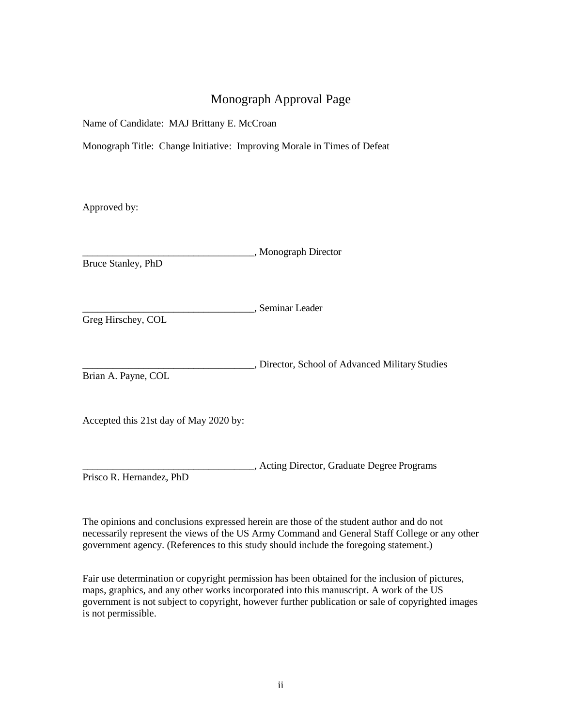# Monograph Approval Page

Name of Candidate: MAJ Brittany E. McCroan

Monograph Title: Change Initiative: Improving Morale in Times of Defeat

Approved by:

\_\_\_\_\_\_\_\_\_\_\_\_\_\_\_\_\_\_\_\_\_\_\_\_\_\_\_\_\_\_\_\_\_\_, Monograph Director Bruce Stanley, PhD

\_\_\_\_\_\_\_\_\_\_\_\_\_\_\_\_\_\_\_\_\_\_\_\_\_\_\_\_\_\_\_\_\_\_, Seminar Leader

Greg Hirschey, COL

\_\_\_\_\_\_\_\_\_\_\_\_\_\_\_\_\_\_\_\_\_\_\_\_\_\_\_\_\_\_\_\_\_\_, Director, School of Advanced Military Studies Brian A. Payne, COL

Accepted this 21st day of May 2020 by:

\_\_\_\_\_\_\_\_\_\_\_\_\_\_\_\_\_\_\_\_\_\_\_\_\_\_\_\_\_\_\_\_\_\_, Acting Director, Graduate Degree Programs Prisco R. Hernandez, PhD

The opinions and conclusions expressed herein are those of the student author and do not necessarily represent the views of the US Army Command and General Staff College or any other government agency. (References to this study should include the foregoing statement.)

Fair use determination or copyright permission has been obtained for the inclusion of pictures, maps, graphics, and any other works incorporated into this manuscript. A work of the US government is not subject to copyright, however further publication or sale of copyrighted images is not permissible.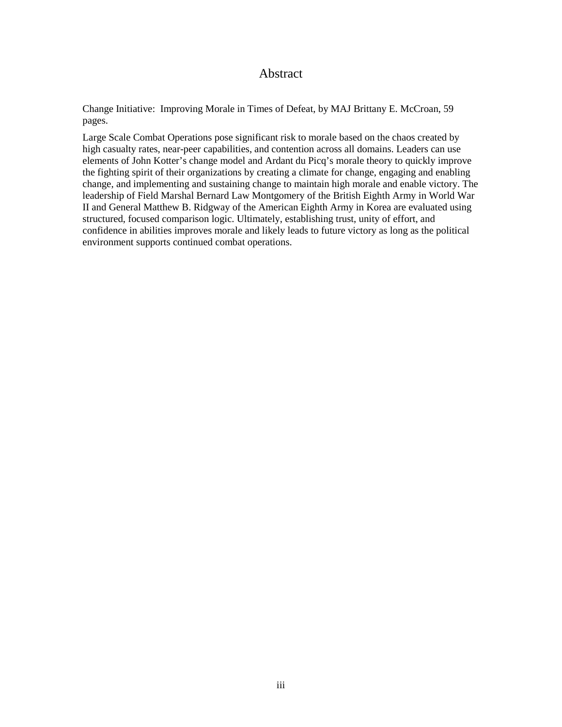## Abstract

Change Initiative: Improving Morale in Times of Defeat, by MAJ Brittany E. McCroan, 59 pages.

Large Scale Combat Operations pose significant risk to morale based on the chaos created by high casualty rates, near-peer capabilities, and contention across all domains. Leaders can use elements of John Kotter's change model and Ardant du Picq's morale theory to quickly improve the fighting spirit of their organizations by creating a climate for change, engaging and enabling change, and implementing and sustaining change to maintain high morale and enable victory. The leadership of Field Marshal Bernard Law Montgomery of the British Eighth Army in World War II and General Matthew B. Ridgway of the American Eighth Army in Korea are evaluated using structured, focused comparison logic. Ultimately, establishing trust, unity of effort, and confidence in abilities improves morale and likely leads to future victory as long as the political environment supports continued combat operations.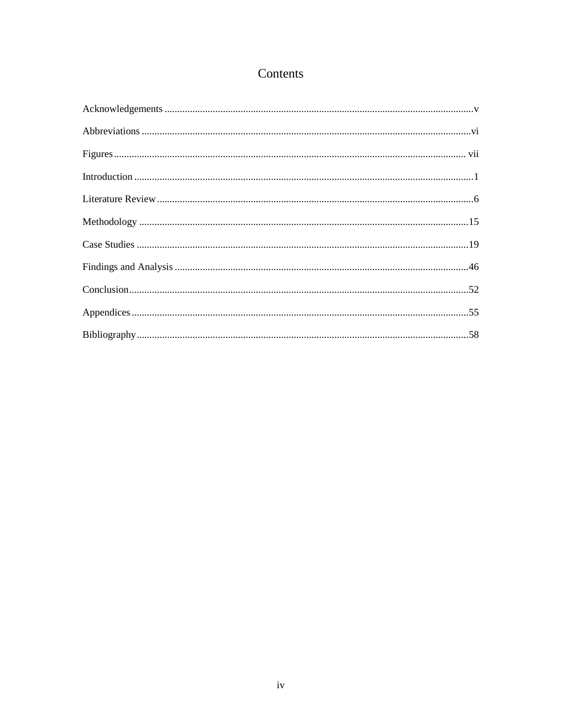# Contents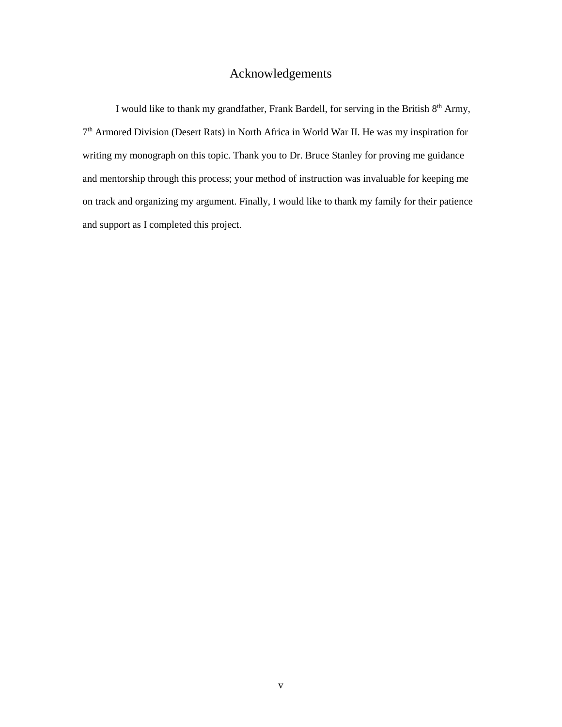# Acknowledgements

<span id="page-5-0"></span>I would like to thank my grandfather, Frank Bardell, for serving in the British  $8<sup>th</sup>$  Army, 7th Armored Division (Desert Rats) in North Africa in World War II. He was my inspiration for writing my monograph on this topic. Thank you to Dr. Bruce Stanley for proving me guidance and mentorship through this process; your method of instruction was invaluable for keeping me on track and organizing my argument. Finally, I would like to thank my family for their patience and support as I completed this project.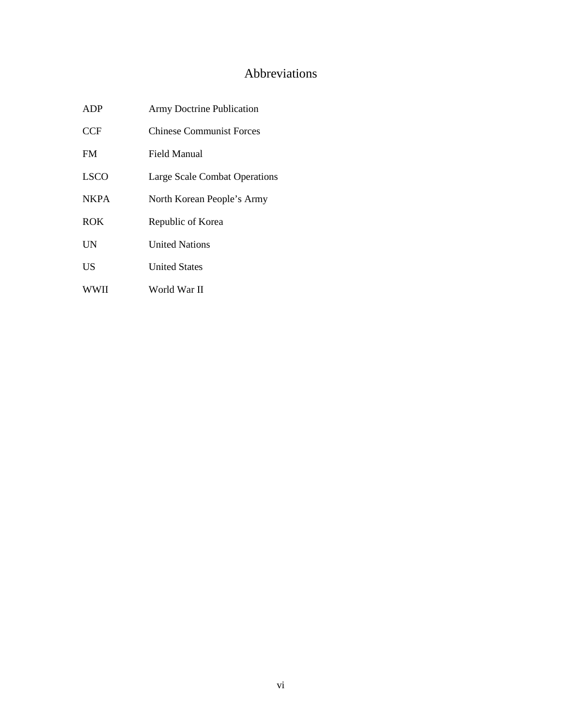# Abbreviations

<span id="page-6-0"></span>

| <b>ADP</b>  | <b>Army Doctrine Publication</b> |
|-------------|----------------------------------|
| <b>CCF</b>  | <b>Chinese Communist Forces</b>  |
| <b>FM</b>   | Field Manual                     |
| <b>LSCO</b> | Large Scale Combat Operations    |
| <b>NKPA</b> | North Korean People's Army       |
| <b>ROK</b>  | Republic of Korea                |
| UN          | <b>United Nations</b>            |
| <b>US</b>   | <b>United States</b>             |
| <b>WWII</b> | World War II                     |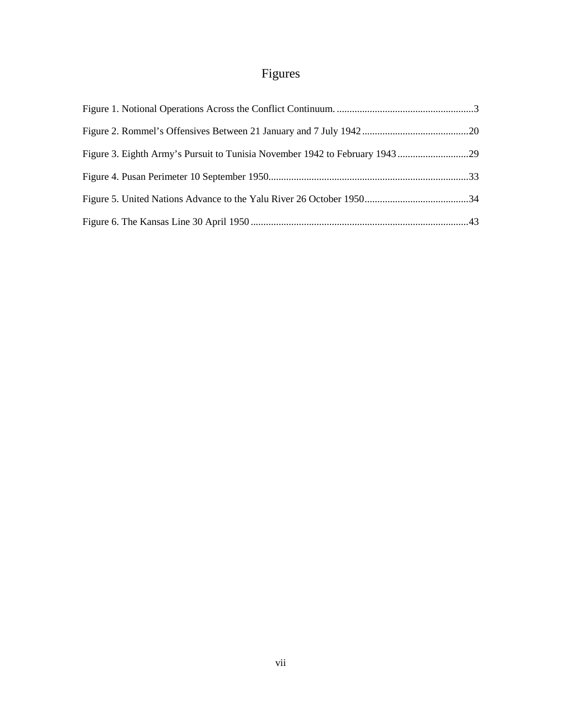# Figures

<span id="page-7-0"></span>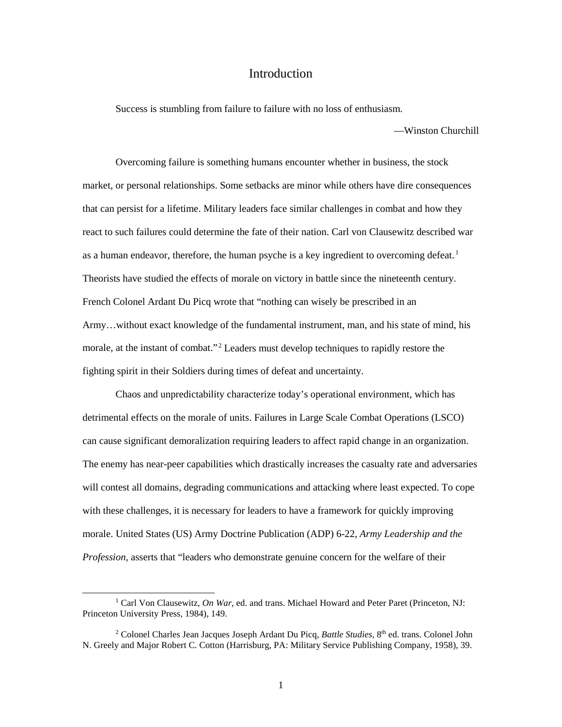#### Introduction

<span id="page-8-0"></span>Success is stumbling from failure to failure with no loss of enthusiasm.

—Winston Churchill

 Overcoming failure is something humans encounter whether in business, the stock market, or personal relationships. Some setbacks are minor while others have dire consequences that can persist for a lifetime. Military leaders face similar challenges in combat and how they react to such failures could determine the fate of their nation. Carl von Clausewitz described war as a human endeavor, therefore, the human psyche is a key ingredient to overcoming defeat.<sup>1</sup> Theorists have studied the effects of morale on victory in battle since the nineteenth century. French Colonel Ardant Du Picq wrote that "nothing can wisely be prescribed in an Army…without exact knowledge of the fundamental instrument, man, and his state of mind, his morale, at the instant of combat."<sup>2</sup> Leaders must develop techniques to rapidly restore the fighting spirit in their Soldiers during times of defeat and uncertainty.

Chaos and unpredictability characterize today's operational environment, which has detrimental effects on the morale of units. Failures in Large Scale Combat Operations (LSCO) can cause significant demoralization requiring leaders to affect rapid change in an organization. The enemy has near-peer capabilities which drastically increases the casualty rate and adversaries will contest all domains, degrading communications and attacking where least expected. To cope with these challenges, it is necessary for leaders to have a framework for quickly improving morale. United States (US) Army Doctrine Publication (ADP) 6-22, *Army Leadership and the Profession,* asserts that "leaders who demonstrate genuine concern for the welfare of their

 <sup>1</sup> Carl Von Clausewitz, *On War*, ed. and trans. Michael Howard and Peter Paret (Princeton, NJ: Princeton University Press, 1984), 149.

<sup>2</sup> Colonel Charles Jean Jacques Joseph Ardant Du Picq, *Battle Studies,* 8th ed. trans. Colonel John N. Greely and Major Robert C. Cotton (Harrisburg, PA: Military Service Publishing Company, 1958), 39.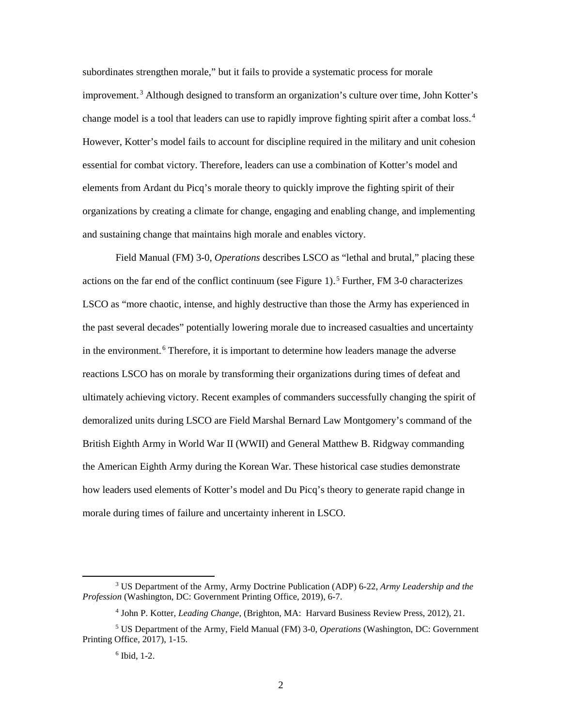subordinates strengthen morale," but it fails to provide a systematic process for morale improvement.<sup>3</sup> Although designed to transform an organization's culture over time, John Kotter's change model is a tool that leaders can use to rapidly improve fighting spirit after a combat loss.<sup>4</sup> However, Kotter's model fails to account for discipline required in the military and unit cohesion essential for combat victory. Therefore, leaders can use a combination of Kotter's model and elements from Ardant du Picq's morale theory to quickly improve the fighting spirit of their organizations by creating a climate for change, engaging and enabling change, and implementing and sustaining change that maintains high morale and enables victory.

 Field Manual (FM) 3-0, *Operations* describes LSCO as "lethal and brutal," placing these actions on the far end of the conflict continuum (see Figure 1).<sup>5</sup> Further, FM 3-0 characterizes LSCO as "more chaotic, intense, and highly destructive than those the Army has experienced in the past several decades" potentially lowering morale due to increased casualties and uncertainty in the environment.<sup>6</sup> Therefore, it is important to determine how leaders manage the adverse reactions LSCO has on morale by transforming their organizations during times of defeat and ultimately achieving victory. Recent examples of commanders successfully changing the spirit of demoralized units during LSCO are Field Marshal Bernard Law Montgomery's command of the British Eighth Army in World War II (WWII) and General Matthew B. Ridgway commanding the American Eighth Army during the Korean War. These historical case studies demonstrate how leaders used elements of Kotter's model and Du Picq's theory to generate rapid change in morale during times of failure and uncertainty inherent in LSCO.

 <sup>3</sup> US Department of the Army, Army Doctrine Publication (ADP) 6-22, *Army Leadership and the Profession* (Washington, DC: Government Printing Office, 2019), 6-7.

<sup>4</sup> John P. Kotter, *Leading Change*, (Brighton, MA: Harvard Business Review Press, 2012), 21.

<sup>5</sup> US Department of the Army, Field Manual (FM) 3-0, *Operations* (Washington, DC: Government Printing Office, 2017), 1-15.

 $6$  Ibid, 1-2.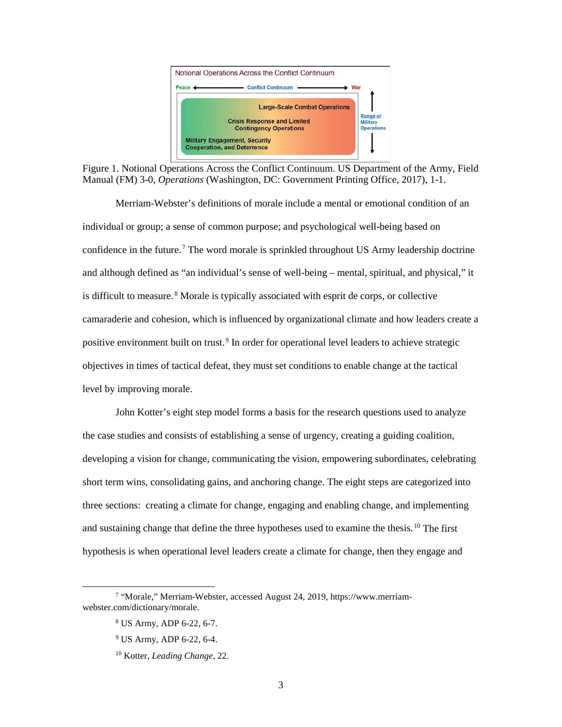

Figure 1. Notional Operations Across the Conflict Continuum. US Department of the Army, Field Manual (FM) 3-0, *Operations* (Washington, DC: Government Printing Office, 2017), 1-1.

Merriam-Webster's definitions of morale include a mental or emotional condition of an individual or group; a sense of common purpose; and psychological well-being based on confidence in the future.<sup>7</sup> The word morale is sprinkled throughout US Army leadership doctrine and although defined as "an individual's sense of well-being – mental, spiritual, and physical," it is difficult to measure.<sup>8</sup> Morale is typically associated with esprit de corps, or collective camaraderie and cohesion, which is influenced by organizational climate and how leaders create a positive environment built on trust.<sup>9</sup> In order for operational level leaders to achieve strategic objectives in times of tactical defeat, they must set conditions to enable change at the tactical level by improving morale.

 John Kotter's eight step model forms a basis for the research questions used to analyze the case studies and consists of establishing a sense of urgency, creating a guiding coalition, developing a vision for change, communicating the vision, empowering subordinates, celebrating short term wins, consolidating gains, and anchoring change. The eight steps are categorized into three sections: creating a climate for change, engaging and enabling change, and implementing and sustaining change that define the three hypotheses used to examine the thesis.<sup>10</sup> The first hypothesis is when operational level leaders create a climate for change, then they engage and

 <sup>7</sup> "Morale," Merriam-Webster, accessed August 24, 2019, [https://www.merriam](https://www.merriam-webster.com/dictionary/morale)[webster.com/dictionary/morale.](https://www.merriam-webster.com/dictionary/morale)

<sup>8</sup> US Army, ADP 6-22, 6-7.

<sup>9</sup> US Army, ADP 6-22, 6-4.

<sup>10</sup> Kotter, *Leading Change*, 22.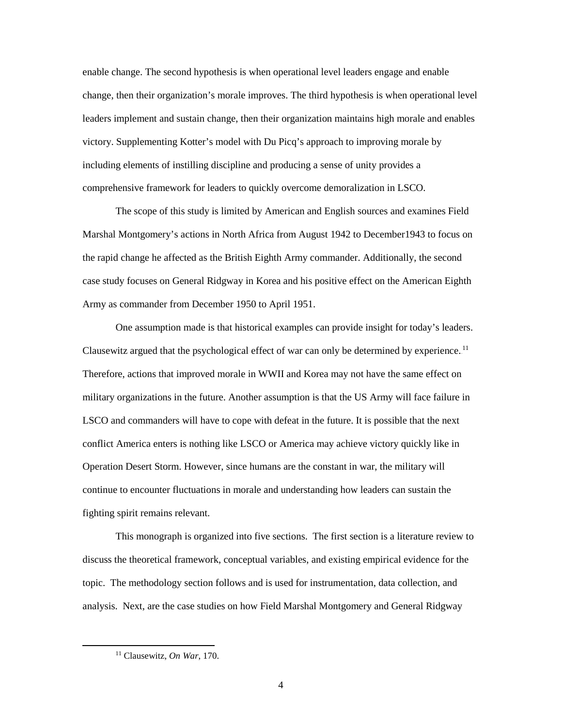enable change. The second hypothesis is when operational level leaders engage and enable change, then their organization's morale improves. The third hypothesis is when operational level leaders implement and sustain change, then their organization maintains high morale and enables victory. Supplementing Kotter's model with Du Picq's approach to improving morale by including elements of instilling discipline and producing a sense of unity provides a comprehensive framework for leaders to quickly overcome demoralization in LSCO.

The scope of this study is limited by American and English sources and examines Field Marshal Montgomery's actions in North Africa from August 1942 to December1943 to focus on the rapid change he affected as the British Eighth Army commander. Additionally, the second case study focuses on General Ridgway in Korea and his positive effect on the American Eighth Army as commander from December 1950 to April 1951.

 One assumption made is that historical examples can provide insight for today's leaders. Clausewitz argued that the psychological effect of war can only be determined by experience.<sup>11</sup> Therefore, actions that improved morale in WWII and Korea may not have the same effect on military organizations in the future. Another assumption is that the US Army will face failure in LSCO and commanders will have to cope with defeat in the future. It is possible that the next conflict America enters is nothing like LSCO or America may achieve victory quickly like in Operation Desert Storm. However, since humans are the constant in war, the military will continue to encounter fluctuations in morale and understanding how leaders can sustain the fighting spirit remains relevant.

 This monograph is organized into five sections. The first section is a literature review to discuss the theoretical framework, conceptual variables, and existing empirical evidence for the topic. The methodology section follows and is used for instrumentation, data collection, and analysis. Next, are the case studies on how Field Marshal Montgomery and General Ridgway

 <sup>11</sup> Clausewitz, *On War*, 170.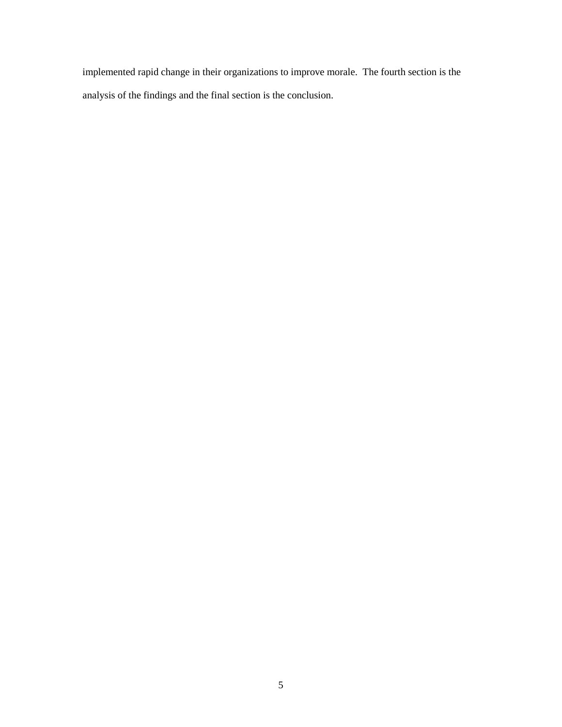implemented rapid change in their organizations to improve morale. The fourth section is the analysis of the findings and the final section is the conclusion.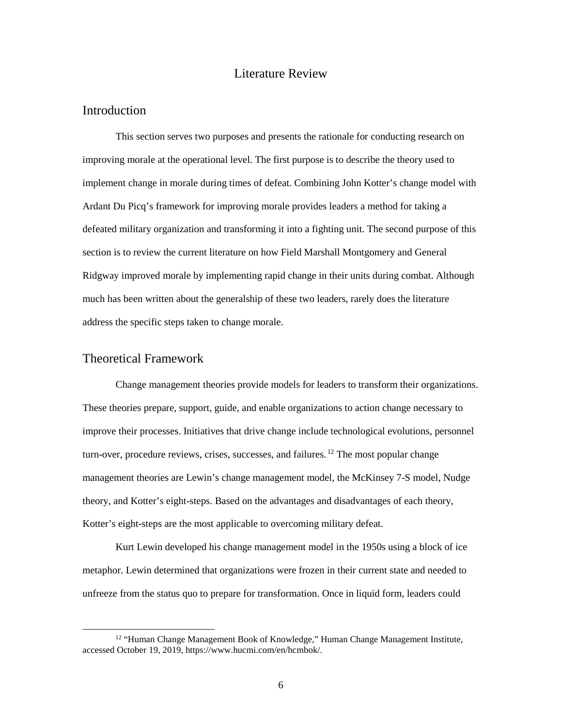#### Literature Review

#### **Introduction**

This section serves two purposes and presents the rationale for conducting research on improving morale at the operational level. The first purpose is to describe the theory used to implement change in morale during times of defeat. Combining John Kotter's change model with Ardant Du Picq's framework for improving morale provides leaders a method for taking a defeated military organization and transforming it into a fighting unit. The second purpose of this section is to review the current literature on how Field Marshall Montgomery and General Ridgway improved morale by implementing rapid change in their units during combat. Although much has been written about the generalship of these two leaders, rarely does the literature address the specific steps taken to change morale.

#### Theoretical Framework

 Change management theories provide models for leaders to transform their organizations. These theories prepare, support, guide, and enable organizations to action change necessary to improve their processes. Initiatives that drive change include technological evolutions, personnel turn-over, procedure reviews, crises, successes, and failures.<sup>12</sup> The most popular change management theories are Lewin's change management model, the McKinsey 7-S model, Nudge theory, and Kotter's eight-steps. Based on the advantages and disadvantages of each theory, Kotter's eight-steps are the most applicable to overcoming military defeat.

 Kurt Lewin developed his change management model in the 1950s using a block of ice metaphor. Lewin determined that organizations were frozen in their current state and needed to unfreeze from the status quo to prepare for transformation. Once in liquid form, leaders could

<sup>&</sup>lt;sup>12</sup> "Human Change Management Book of Knowledge," Human Change Management Institute, accessed October 19, 2019, https://www.hucmi.com/en/hcmbok/.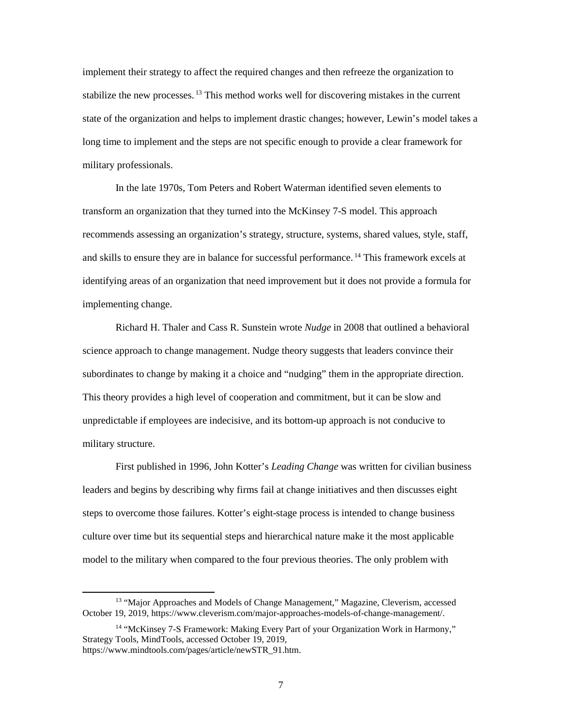implement their strategy to affect the required changes and then refreeze the organization to stabilize the new processes.<sup>13</sup> This method works well for discovering mistakes in the current state of the organization and helps to implement drastic changes; however, Lewin's model takes a long time to implement and the steps are not specific enough to provide a clear framework for military professionals.

 In the late 1970s, Tom Peters and Robert Waterman identified seven elements to transform an organization that they turned into the McKinsey 7-S model. This approach recommends assessing an organization's strategy, structure, systems, shared values, style, staff, and skills to ensure they are in balance for successful performance.<sup>14</sup> This framework excels at identifying areas of an organization that need improvement but it does not provide a formula for implementing change.

 Richard H. Thaler and Cass R. Sunstein wrote *Nudge* in 2008 that outlined a behavioral science approach to change management. Nudge theory suggests that leaders convince their subordinates to change by making it a choice and "nudging" them in the appropriate direction. This theory provides a high level of cooperation and commitment, but it can be slow and unpredictable if employees are indecisive, and its bottom-up approach is not conducive to military structure.

 First published in 1996, John Kotter's *Leading Change* was written for civilian business leaders and begins by describing why firms fail at change initiatives and then discusses eight steps to overcome those failures. Kotter's eight-stage process is intended to change business culture over time but its sequential steps and hierarchical nature make it the most applicable model to the military when compared to the four previous theories. The only problem with

 <sup>13</sup> "Major Approaches and Models of Change Management," Magazine, Cleverism, accessed October 19, 2019, https://www.cleverism.com/major-approaches-models-of-change-management/.

<sup>14</sup> "McKinsey 7-S Framework: Making Every Part of your Organization Work in Harmony," Strategy Tools, MindTools, accessed October 19, 2019, https://www.mindtools.com/pages/article/newSTR\_91.htm.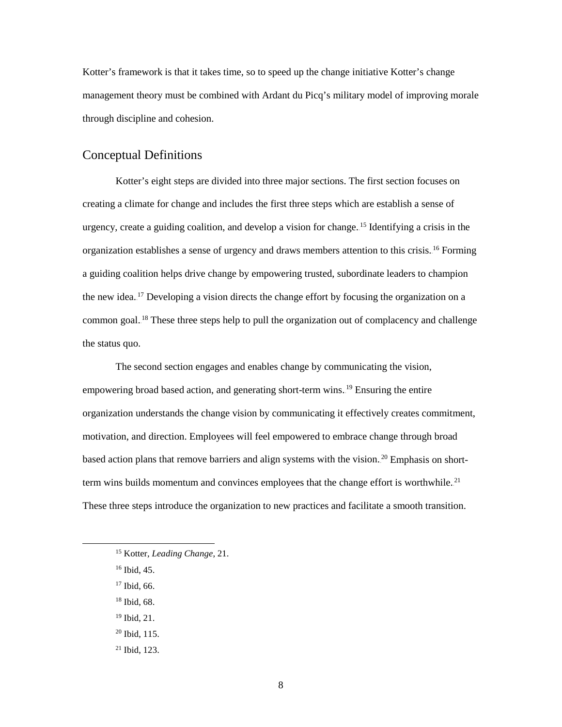Kotter's framework is that it takes time, so to speed up the change initiative Kotter's change management theory must be combined with Ardant du Picq's military model of improving morale through discipline and cohesion.

## Conceptual Definitions

Kotter's eight steps are divided into three major sections. The first section focuses on creating a climate for change and includes the first three steps which are establish a sense of urgency, create a guiding coalition, and develop a vision for change.<sup>15</sup> Identifying a crisis in the organization establishes a sense of urgency and draws members attention to this crisis.<sup>16</sup> Forming a guiding coalition helps drive change by empowering trusted, subordinate leaders to champion the new idea.<sup>17</sup> Developing a vision directs the change effort by focusing the organization on a common goal.<sup>18</sup> These three steps help to pull the organization out of complacency and challenge the status quo.

 The second section engages and enables change by communicating the vision, empowering broad based action, and generating short-term wins.<sup>19</sup> Ensuring the entire organization understands the change vision by communicating it effectively creates commitment, motivation, and direction. Employees will feel empowered to embrace change through broad based action plans that remove barriers and align systems with the vision.<sup>20</sup> Emphasis on shortterm wins builds momentum and convinces employees that the change effort is worthwhile.<sup>21</sup> These three steps introduce the organization to new practices and facilitate a smooth transition.

- <sup>18</sup> Ibid, 68.
- <sup>19</sup> Ibid, 21.
- $20$  Ibid, 115.
- <sup>21</sup> Ibid, 123.

 <sup>15</sup> Kotter, *Leading Change*, 21.

<sup>16</sup> Ibid, 45.

<sup>&</sup>lt;sup>17</sup> Ibid, 66.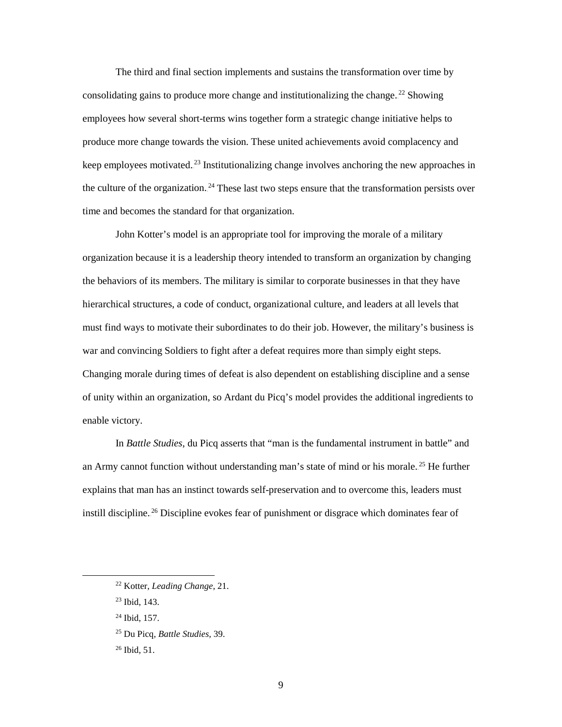The third and final section implements and sustains the transformation over time by consolidating gains to produce more change and institutionalizing the change.<sup>22</sup> Showing employees how several short-terms wins together form a strategic change initiative helps to produce more change towards the vision. These united achievements avoid complacency and keep employees motivated.<sup>23</sup> Institutionalizing change involves anchoring the new approaches in the culture of the organization.<sup>24</sup> These last two steps ensure that the transformation persists over time and becomes the standard for that organization.

 John Kotter's model is an appropriate tool for improving the morale of a military organization because it is a leadership theory intended to transform an organization by changing the behaviors of its members. The military is similar to corporate businesses in that they have hierarchical structures, a code of conduct, organizational culture, and leaders at all levels that must find ways to motivate their subordinates to do their job. However, the military's business is war and convincing Soldiers to fight after a defeat requires more than simply eight steps. Changing morale during times of defeat is also dependent on establishing discipline and a sense of unity within an organization, so Ardant du Picq's model provides the additional ingredients to enable victory.

In *Battle Studies*, du Picq asserts that "man is the fundamental instrument in battle" and an Army cannot function without understanding man's state of mind or his morale.<sup>25</sup> He further explains that man has an instinct towards self-preservation and to overcome this, leaders must instill discipline.<sup>26</sup> Discipline evokes fear of punishment or disgrace which dominates fear of

 <sup>22</sup> Kotter, *Leading Change*, 21.

<sup>23</sup> Ibid, 143.

<sup>24</sup> Ibid, 157.

<sup>25</sup> Du Picq, *Battle Studies,* 39.

<sup>26</sup> Ibid*,* 51.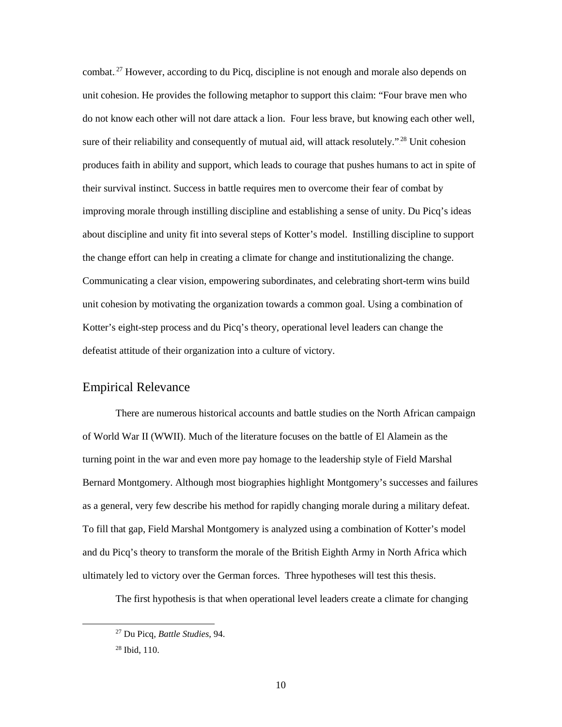combat.<sup>27</sup> However, according to du Picq, discipline is not enough and morale also depends on unit cohesion. He provides the following metaphor to support this claim: "Four brave men who do not know each other will not dare attack a lion. Four less brave, but knowing each other well, sure of their reliability and consequently of mutual aid, will attack resolutely."<sup>28</sup> Unit cohesion produces faith in ability and support, which leads to courage that pushes humans to act in spite of their survival instinct. Success in battle requires men to overcome their fear of combat by improving morale through instilling discipline and establishing a sense of unity. Du Picq's ideas about discipline and unity fit into several steps of Kotter's model. Instilling discipline to support the change effort can help in creating a climate for change and institutionalizing the change. Communicating a clear vision, empowering subordinates, and celebrating short-term wins build unit cohesion by motivating the organization towards a common goal. Using a combination of Kotter's eight-step process and du Picq's theory, operational level leaders can change the defeatist attitude of their organization into a culture of victory.

#### Empirical Relevance

There are numerous historical accounts and battle studies on the North African campaign of World War II (WWII). Much of the literature focuses on the battle of El Alamein as the turning point in the war and even more pay homage to the leadership style of Field Marshal Bernard Montgomery. Although most biographies highlight Montgomery's successes and failures as a general, very few describe his method for rapidly changing morale during a military defeat. To fill that gap, Field Marshal Montgomery is analyzed using a combination of Kotter's model and du Picq's theory to transform the morale of the British Eighth Army in North Africa which ultimately led to victory over the German forces. Three hypotheses will test this thesis.

The first hypothesis is that when operational level leaders create a climate for changing

 <sup>27</sup> Du Picq, *Battle Studies*, 94.

<sup>28</sup> Ibid, 110.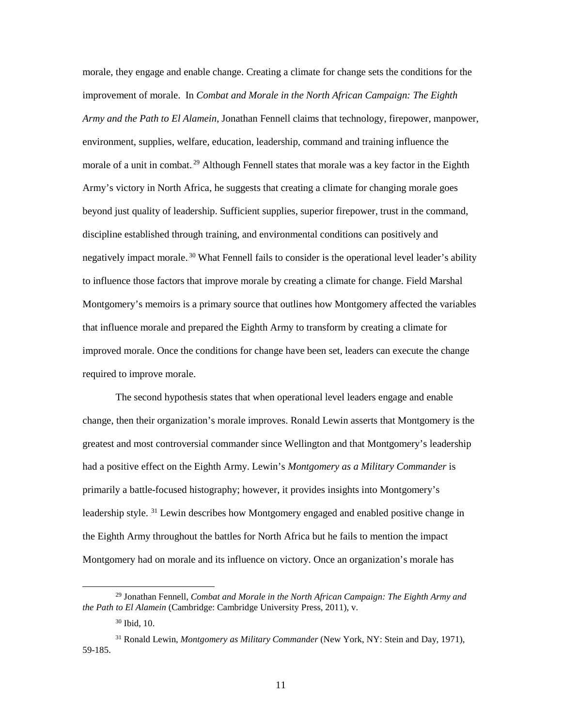morale, they engage and enable change. Creating a climate for change sets the conditions for the improvement of morale. In *Combat and Morale in the North African Campaign: The Eighth Army and the Path to El Alamein*, Jonathan Fennell claims that technology, firepower, manpower, environment, supplies, welfare, education, leadership, command and training influence the morale of a unit in combat.<sup>29</sup> Although Fennell states that morale was a key factor in the Eighth Army's victory in North Africa, he suggests that creating a climate for changing morale goes beyond just quality of leadership. Sufficient supplies, superior firepower, trust in the command, discipline established through training, and environmental conditions can positively and negatively impact morale.<sup>30</sup> What Fennell fails to consider is the operational level leader's ability to influence those factors that improve morale by creating a climate for change. Field Marshal Montgomery's memoirs is a primary source that outlines how Montgomery affected the variables that influence morale and prepared the Eighth Army to transform by creating a climate for improved morale. Once the conditions for change have been set, leaders can execute the change required to improve morale.

The second hypothesis states that when operational level leaders engage and enable change, then their organization's morale improves. Ronald Lewin asserts that Montgomery is the greatest and most controversial commander since Wellington and that Montgomery's leadership had a positive effect on the Eighth Army. Lewin's *Montgomery as a Military Commander* is primarily a battle-focused histography; however, it provides insights into Montgomery's leadership style.<sup>31</sup> Lewin describes how Montgomery engaged and enabled positive change in the Eighth Army throughout the battles for North Africa but he fails to mention the impact Montgomery had on morale and its influence on victory. Once an organization's morale has

 <sup>29</sup> Jonathan Fennell, *Combat and Morale in the North African Campaign: The Eighth Army and the Path to El Alamein* (Cambridge: Cambridge University Press, 2011), v.

<sup>30</sup> Ibid, 10.

<sup>31</sup> Ronald Lewin, *Montgomery as Military Commander* (New York, NY: Stein and Day, 1971), 59-185.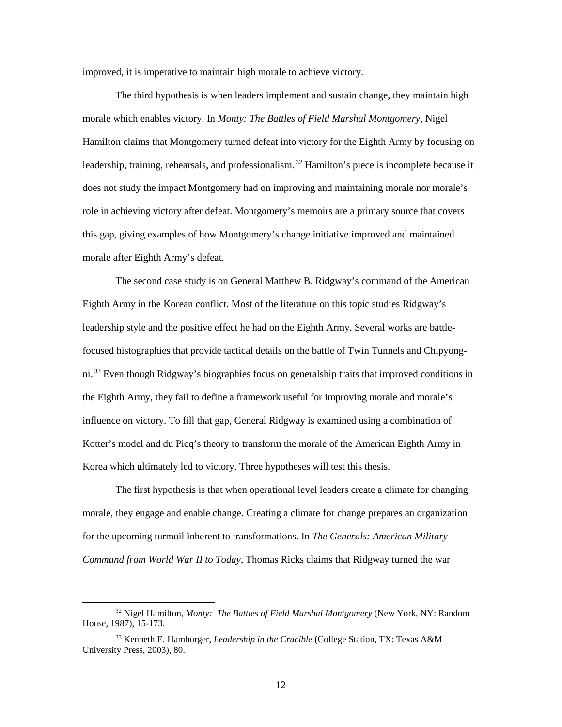improved, it is imperative to maintain high morale to achieve victory.

 The third hypothesis is when leaders implement and sustain change, they maintain high morale which enables victory. In *Monty: The Battles of Field Marshal Montgomery*, Nigel Hamilton claims that Montgomery turned defeat into victory for the Eighth Army by focusing on leadership, training, rehearsals, and professionalism.<sup>32</sup> Hamilton's piece is incomplete because it does not study the impact Montgomery had on improving and maintaining morale nor morale's role in achieving victory after defeat. Montgomery's memoirs are a primary source that covers this gap, giving examples of how Montgomery's change initiative improved and maintained morale after Eighth Army's defeat.

The second case study is on General Matthew B. Ridgway's command of the American Eighth Army in the Korean conflict. Most of the literature on this topic studies Ridgway's leadership style and the positive effect he had on the Eighth Army. Several works are battlefocused histographies that provide tactical details on the battle of Twin Tunnels and Chipyongni.<sup>33</sup> Even though Ridgway's biographies focus on generalship traits that improved conditions in the Eighth Army, they fail to define a framework useful for improving morale and morale's influence on victory. To fill that gap, General Ridgway is examined using a combination of Kotter's model and du Picq's theory to transform the morale of the American Eighth Army in Korea which ultimately led to victory. Three hypotheses will test this thesis.

The first hypothesis is that when operational level leaders create a climate for changing morale, they engage and enable change. Creating a climate for change prepares an organization for the upcoming turmoil inherent to transformations. In *The Generals: American Military Command from World War II to Today*, Thomas Ricks claims that Ridgway turned the war

 <sup>32</sup> Nigel Hamilton, *Monty: The Battles of Field Marshal Montgomery* (New York, NY: Random House, 1987), 15-173.

<sup>33</sup> Kenneth E. Hamburger, *Leadership in the Crucible* (College Station, TX: Texas A&M University Press, 2003), 80.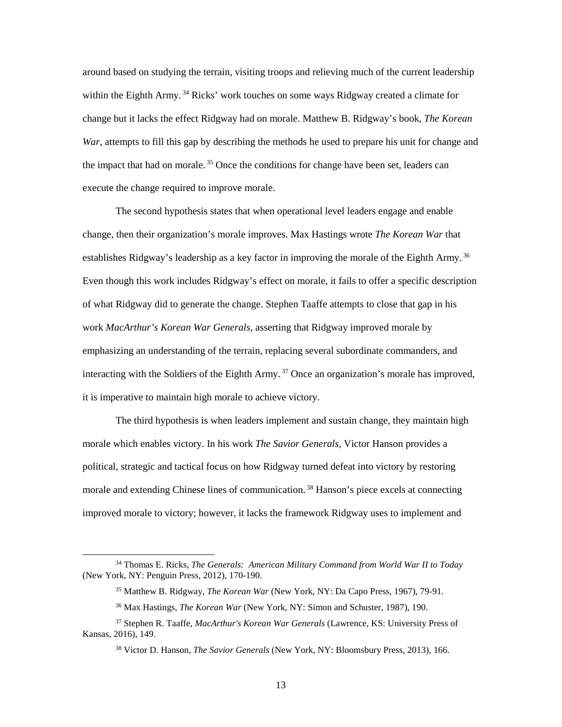around based on studying the terrain, visiting troops and relieving much of the current leadership within the Eighth Army.<sup>34</sup> Ricks' work touches on some ways Ridgway created a climate for change but it lacks the effect Ridgway had on morale. Matthew B. Ridgway's book, *The Korean War*, attempts to fill this gap by describing the methods he used to prepare his unit for change and the impact that had on morale.<sup>35</sup> Once the conditions for change have been set, leaders can execute the change required to improve morale.

The second hypothesis states that when operational level leaders engage and enable change, then their organization's morale improves. Max Hastings wrote *The Korean War* that establishes Ridgway's leadership as a key factor in improving the morale of the Eighth Army.<sup>36</sup> Even though this work includes Ridgway's effect on morale, it fails to offer a specific description of what Ridgway did to generate the change. Stephen Taaffe attempts to close that gap in his work *MacArthur's Korean War Generals*, asserting that Ridgway improved morale by emphasizing an understanding of the terrain, replacing several subordinate commanders, and interacting with the Soldiers of the Eighth Army.<sup>37</sup> Once an organization's morale has improved, it is imperative to maintain high morale to achieve victory.

 The third hypothesis is when leaders implement and sustain change, they maintain high morale which enables victory. In his work *The Savior Generals,* Victor Hanson provides a political, strategic and tactical focus on how Ridgway turned defeat into victory by restoring morale and extending Chinese lines of communication.<sup>38</sup> Hanson's piece excels at connecting improved morale to victory; however, it lacks the framework Ridgway uses to implement and

 <sup>34</sup> Thomas E. Ricks, *The Generals: American Military Command from World War II to Today* (New York, NY: Penguin Press, 2012), 170-190.

<sup>35</sup> Matthew B. Ridgway, *The Korean War* (New York, NY: Da Capo Press, 1967), 79-91.

<sup>36</sup> Max Hastings, *The Korean War* (New York, NY: Simon and Schuster, 1987), 190.

<sup>37</sup> Stephen R. Taaffe, *MacArthur's Korean War Generals* (Lawrence, KS: University Press of Kansas, 2016), 149.

<sup>38</sup> Victor D. Hanson, *The Savior Generals* (New York, NY: Bloomsbury Press, 2013), 166.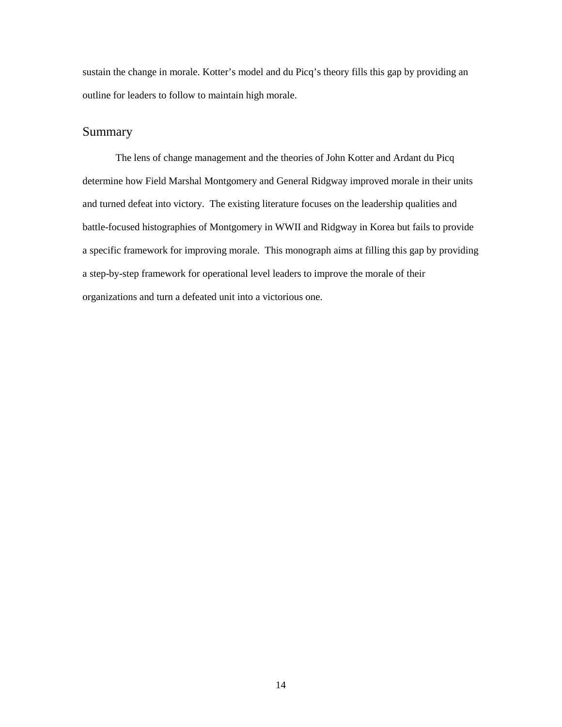sustain the change in morale. Kotter's model and du Picq's theory fills this gap by providing an outline for leaders to follow to maintain high morale.

### Summary

 The lens of change management and the theories of John Kotter and Ardant du Picq determine how Field Marshal Montgomery and General Ridgway improved morale in their units and turned defeat into victory. The existing literature focuses on the leadership qualities and battle-focused histographies of Montgomery in WWII and Ridgway in Korea but fails to provide a specific framework for improving morale. This monograph aims at filling this gap by providing a step-by-step framework for operational level leaders to improve the morale of their organizations and turn a defeated unit into a victorious one.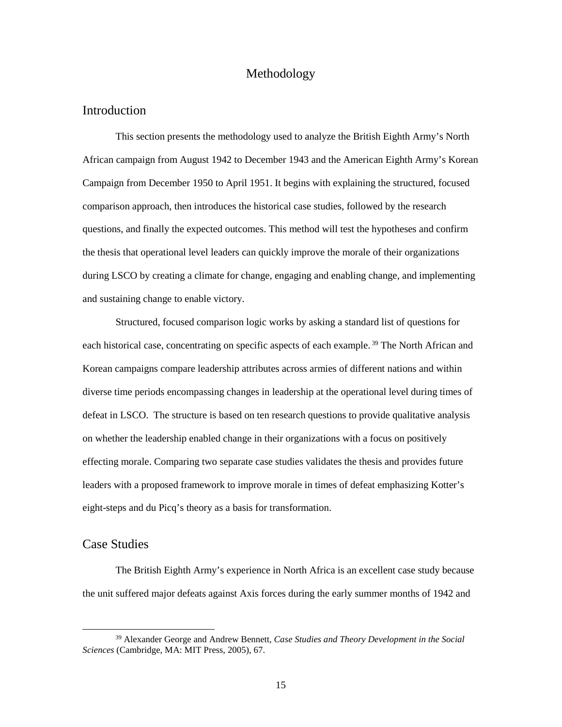#### Methodology

#### Introduction

This section presents the methodology used to analyze the British Eighth Army's North African campaign from August 1942 to December 1943 and the American Eighth Army's Korean Campaign from December 1950 to April 1951. It begins with explaining the structured, focused comparison approach, then introduces the historical case studies, followed by the research questions, and finally the expected outcomes. This method will test the hypotheses and confirm the thesis that operational level leaders can quickly improve the morale of their organizations during LSCO by creating a climate for change, engaging and enabling change, and implementing and sustaining change to enable victory.

 Structured, focused comparison logic works by asking a standard list of questions for each historical case, concentrating on specific aspects of each example.<sup>39</sup> The North African and Korean campaigns compare leadership attributes across armies of different nations and within diverse time periods encompassing changes in leadership at the operational level during times of defeat in LSCO. The structure is based on ten research questions to provide qualitative analysis on whether the leadership enabled change in their organizations with a focus on positively effecting morale. Comparing two separate case studies validates the thesis and provides future leaders with a proposed framework to improve morale in times of defeat emphasizing Kotter's eight-steps and du Picq's theory as a basis for transformation.

#### Case Studies

The British Eighth Army's experience in North Africa is an excellent case study because the unit suffered major defeats against Axis forces during the early summer months of 1942 and

 <sup>39</sup> Alexander George and Andrew Bennett, *Case Studies and Theory Development in the Social Sciences* (Cambridge, MA: MIT Press, 2005), 67.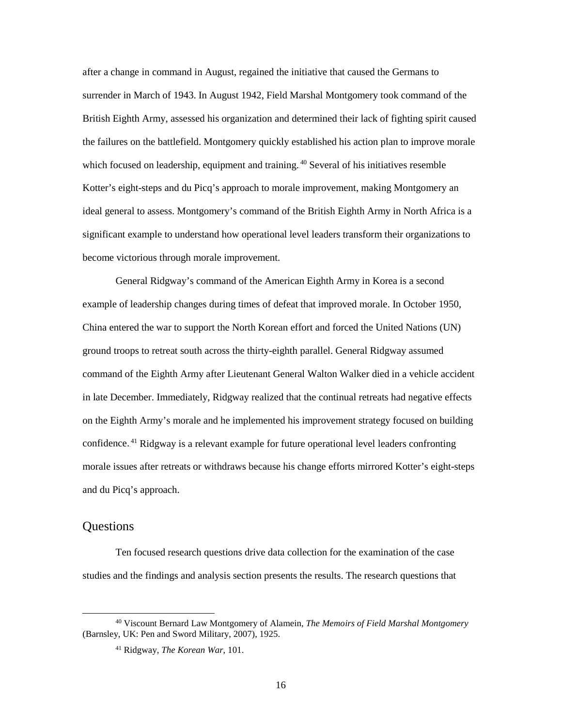after a change in command in August, regained the initiative that caused the Germans to surrender in March of 1943. In August 1942, Field Marshal Montgomery took command of the British Eighth Army, assessed his organization and determined their lack of fighting spirit caused the failures on the battlefield. Montgomery quickly established his action plan to improve morale which focused on leadership, equipment and training.<sup>40</sup> Several of his initiatives resemble Kotter's eight-steps and du Picq's approach to morale improvement, making Montgomery an ideal general to assess. Montgomery's command of the British Eighth Army in North Africa is a significant example to understand how operational level leaders transform their organizations to become victorious through morale improvement.

 General Ridgway's command of the American Eighth Army in Korea is a second example of leadership changes during times of defeat that improved morale. In October 1950, China entered the war to support the North Korean effort and forced the United Nations (UN) ground troops to retreat south across the thirty-eighth parallel. General Ridgway assumed command of the Eighth Army after Lieutenant General Walton Walker died in a vehicle accident in late December. Immediately, Ridgway realized that the continual retreats had negative effects on the Eighth Army's morale and he implemented his improvement strategy focused on building confidence.<sup>41</sup> Ridgway is a relevant example for future operational level leaders confronting morale issues after retreats or withdraws because his change efforts mirrored Kotter's eight-steps and du Picq's approach.

#### Questions

Ten focused research questions drive data collection for the examination of the case studies and the findings and analysis section presents the results. The research questions that

 <sup>40</sup> Viscount Bernard Law Montgomery of Alamein, *The Memoirs of Field Marshal Montgomery* (Barnsley, UK: Pen and Sword Military, 2007), 1925.

<sup>41</sup> Ridgway, *The Korean War*, 101.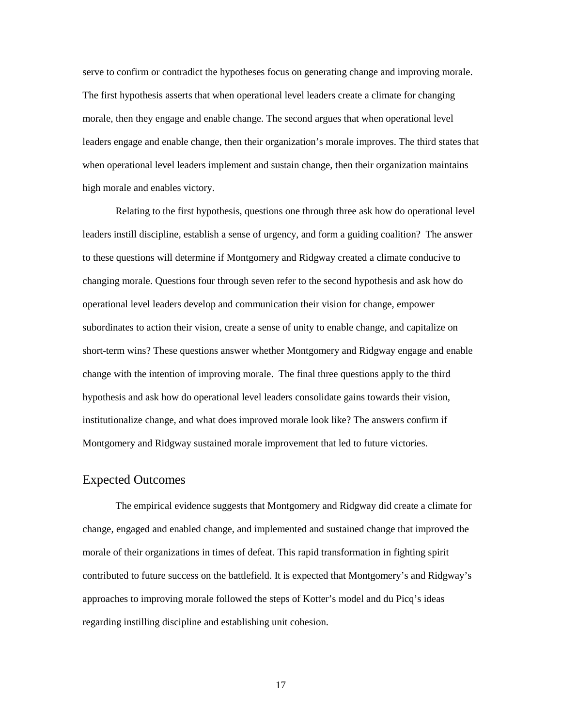serve to confirm or contradict the hypotheses focus on generating change and improving morale. The first hypothesis asserts that when operational level leaders create a climate for changing morale, then they engage and enable change. The second argues that when operational level leaders engage and enable change, then their organization's morale improves. The third states that when operational level leaders implement and sustain change, then their organization maintains high morale and enables victory.

Relating to the first hypothesis, questions one through three ask how do operational level leaders instill discipline, establish a sense of urgency, and form a guiding coalition? The answer to these questions will determine if Montgomery and Ridgway created a climate conducive to changing morale. Questions four through seven refer to the second hypothesis and ask how do operational level leaders develop and communication their vision for change, empower subordinates to action their vision, create a sense of unity to enable change, and capitalize on short-term wins? These questions answer whether Montgomery and Ridgway engage and enable change with the intention of improving morale. The final three questions apply to the third hypothesis and ask how do operational level leaders consolidate gains towards their vision, institutionalize change, and what does improved morale look like? The answers confirm if Montgomery and Ridgway sustained morale improvement that led to future victories.

#### Expected Outcomes

 The empirical evidence suggests that Montgomery and Ridgway did create a climate for change, engaged and enabled change, and implemented and sustained change that improved the morale of their organizations in times of defeat. This rapid transformation in fighting spirit contributed to future success on the battlefield. It is expected that Montgomery's and Ridgway's approaches to improving morale followed the steps of Kotter's model and du Picq's ideas regarding instilling discipline and establishing unit cohesion.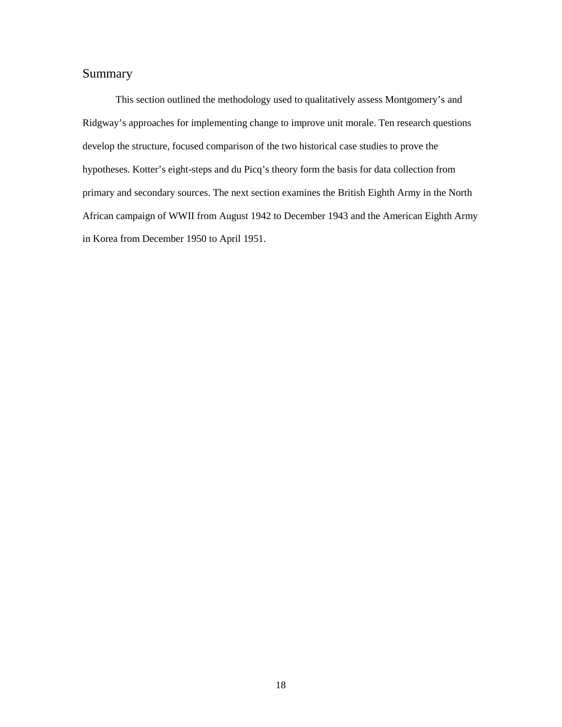# Summary

 This section outlined the methodology used to qualitatively assess Montgomery's and Ridgway's approaches for implementing change to improve unit morale. Ten research questions develop the structure, focused comparison of the two historical case studies to prove the hypotheses. Kotter's eight-steps and du Picq's theory form the basis for data collection from primary and secondary sources. The next section examines the British Eighth Army in the North African campaign of WWII from August 1942 to December 1943 and the American Eighth Army in Korea from December 1950 to April 1951.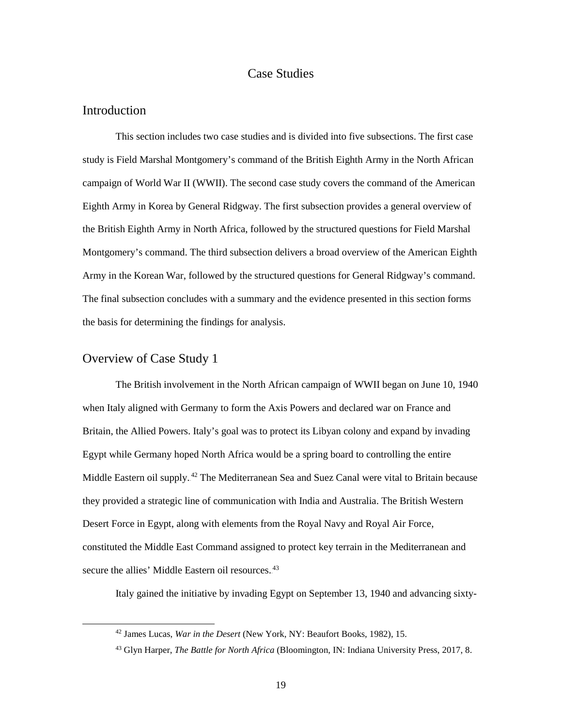#### Case Studies

#### Introduction

This section includes two case studies and is divided into five subsections. The first case study is Field Marshal Montgomery's command of the British Eighth Army in the North African campaign of World War II (WWII). The second case study covers the command of the American Eighth Army in Korea by General Ridgway. The first subsection provides a general overview of the British Eighth Army in North Africa, followed by the structured questions for Field Marshal Montgomery's command. The third subsection delivers a broad overview of the American Eighth Army in the Korean War, followed by the structured questions for General Ridgway's command. The final subsection concludes with a summary and the evidence presented in this section forms the basis for determining the findings for analysis.

#### Overview of Case Study 1

 The British involvement in the North African campaign of WWII began on June 10, 1940 when Italy aligned with Germany to form the Axis Powers and declared war on France and Britain, the Allied Powers. Italy's goal was to protect its Libyan colony and expand by invading Egypt while Germany hoped North Africa would be a spring board to controlling the entire Middle Eastern oil supply.<sup>42</sup> The Mediterranean Sea and Suez Canal were vital to Britain because they provided a strategic line of communication with India and Australia. The British Western Desert Force in Egypt, along with elements from the Royal Navy and Royal Air Force, constituted the Middle East Command assigned to protect key terrain in the Mediterranean and secure the allies' Middle Eastern oil resources.<sup>43</sup>

Italy gained the initiative by invading Egypt on September 13, 1940 and advancing sixty-

 <sup>42</sup> James Lucas, *War in the Desert* (New York, NY: Beaufort Books, 1982), 15.

<sup>43</sup> Glyn Harper, *The Battle for North Africa* (Bloomington, IN: Indiana University Press, 2017, 8.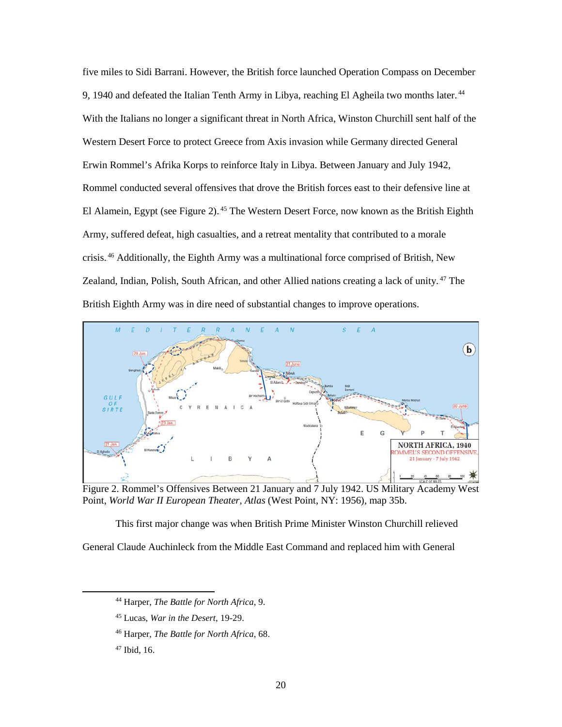five miles to Sidi Barrani. However, the British force launched Operation Compass on December 9, 1940 and defeated the Italian Tenth Army in Libya, reaching El Agheila two months later.<sup>44</sup> With the Italians no longer a significant threat in North Africa, Winston Churchill sent half of the Western Desert Force to protect Greece from Axis invasion while Germany directed General Erwin Rommel's Afrika Korps to reinforce Italy in Libya. Between January and July 1942, Rommel conducted several offensives that drove the British forces east to their defensive line at El Alamein, Egypt (see Figure 2).<sup>45</sup> The Western Desert Force, now known as the British Eighth Army, suffered defeat, high casualties, and a retreat mentality that contributed to a morale crisis.<sup>46</sup> Additionally, the Eighth Army was a multinational force comprised of British, New Zealand, Indian, Polish, South African, and other Allied nations creating a lack of unity.<sup>47</sup> The British Eighth Army was in dire need of substantial changes to improve operations.



Figure 2. Rommel's Offensives Between 21 January and 7 July 1942. US Military Academy West Point, *World War II European Theater, Atlas* (West Point, NY: 1956), map 35b.

This first major change was when British Prime Minister Winston Churchill relieved General Claude Auchinleck from the Middle East Command and replaced him with General

 <sup>44</sup> Harper, *The Battle for North Africa*, 9.

<sup>45</sup> Lucas, *War in the Desert*, 19-29.

<sup>46</sup> Harper, *The Battle for North Africa*, 68.

<sup>47</sup> Ibid, 16.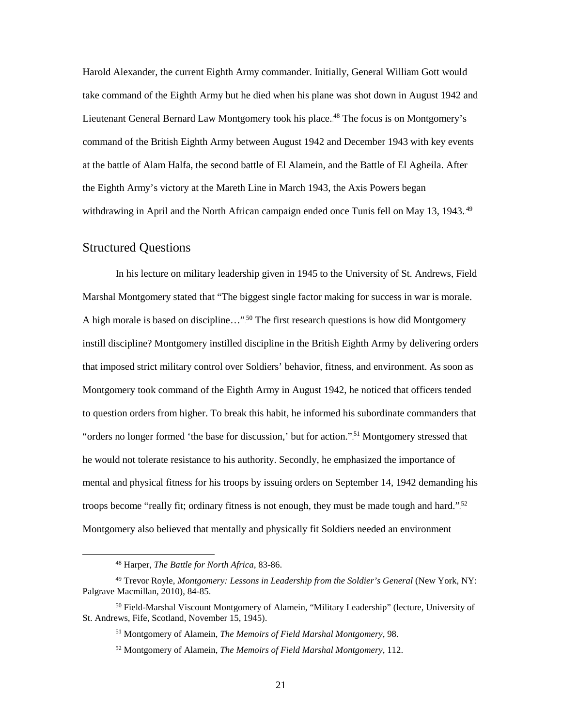Harold Alexander, the current Eighth Army commander. Initially, General William Gott would take command of the Eighth Army but he died when his plane was shot down in August 1942 and Lieutenant General Bernard Law Montgomery took his place.<sup>48</sup> The focus is on Montgomery's command of the British Eighth Army between August 1942 and December 1943 with key events at the battle of Alam Halfa, the second battle of El Alamein, and the Battle of El Agheila. After the Eighth Army's victory at the Mareth Line in March 1943, the Axis Powers began withdrawing in April and the North African campaign ended once Tunis fell on May 13, 1943.<sup>49</sup>

#### Structured Questions

In his lecture on military leadership given in 1945 to the University of St. Andrews, Field Marshal Montgomery stated that "The biggest single factor making for success in war is morale. A high morale is based on discipline..."<sup>50</sup> The first research questions is how did Montgomery instill discipline? Montgomery instilled discipline in the British Eighth Army by delivering orders that imposed strict military control over Soldiers' behavior, fitness, and environment. As soon as Montgomery took command of the Eighth Army in August 1942, he noticed that officers tended to question orders from higher. To break this habit, he informed his subordinate commanders that "orders no longer formed 'the base for discussion,' but for action."<sup>51</sup> Montgomery stressed that he would not tolerate resistance to his authority. Secondly, he emphasized the importance of mental and physical fitness for his troops by issuing orders on September 14, 1942 demanding his troops become "really fit; ordinary fitness is not enough, they must be made tough and hard."<sup>52</sup> Montgomery also believed that mentally and physically fit Soldiers needed an environment

 <sup>48</sup> Harper, *The Battle for North Africa*, 83-86.

<sup>49</sup> Trevor Royle, *Montgomery: Lessons in Leadership from the Soldier's General* (New York, NY: Palgrave Macmillan, 2010), 84-85.

<sup>&</sup>lt;sup>50</sup> Field-Marshal Viscount Montgomery of Alamein, "Military Leadership" (lecture, University of St. Andrews, Fife, Scotland, November 15, 1945).

<sup>51</sup> Montgomery of Alamein, *The Memoirs of Field Marshal Montgomery*, 98.

<sup>52</sup> Montgomery of Alamein, *The Memoirs of Field Marshal Montgomery*, 112.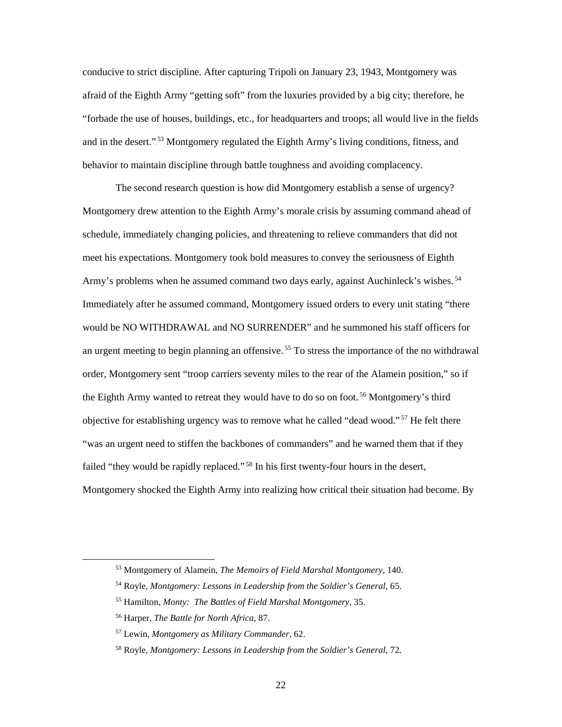conducive to strict discipline. After capturing Tripoli on January 23, 1943, Montgomery was afraid of the Eighth Army "getting soft" from the luxuries provided by a big city; therefore, he "forbade the use of houses, buildings, etc., for headquarters and troops; all would live in the fields and in the desert."<sup>53</sup> Montgomery regulated the Eighth Army's living conditions, fitness, and behavior to maintain discipline through battle toughness and avoiding complacency.

The second research question is how did Montgomery establish a sense of urgency? Montgomery drew attention to the Eighth Army's morale crisis by assuming command ahead of schedule, immediately changing policies, and threatening to relieve commanders that did not meet his expectations. Montgomery took bold measures to convey the seriousness of Eighth Army's problems when he assumed command two days early, against Auchinleck's wishes.<sup>54</sup> Immediately after he assumed command, Montgomery issued orders to every unit stating "there would be NO WITHDRAWAL and NO SURRENDER" and he summoned his staff officers for an urgent meeting to begin planning an offensive.<sup>55</sup> To stress the importance of the no withdrawal order, Montgomery sent "troop carriers seventy miles to the rear of the Alamein position," so if the Eighth Army wanted to retreat they would have to do so on foot.<sup>56</sup> Montgomery's third objective for establishing urgency was to remove what he called "dead wood."<sup>57</sup> He felt there "was an urgent need to stiffen the backbones of commanders" and he warned them that if they failed "they would be rapidly replaced."<sup>58</sup> In his first twenty-four hours in the desert, Montgomery shocked the Eighth Army into realizing how critical their situation had become. By

 <sup>53</sup> Montgomery of Alamein, *The Memoirs of Field Marshal Montgomery*, 140.

<sup>54</sup> Royle, *Montgomery: Lessons in Leadership from the Soldier's General*, 65.

<sup>55</sup> Hamilton, *Monty: The Battles of Field Marshal Montgomery*, 35.

<sup>56</sup> Harper, *The Battle for North Africa*, 87.

<sup>57</sup> Lewin, *Montgomery as Military Commander*, 62.

<sup>58</sup> Royle, *Montgomery: Lessons in Leadership from the Soldier's General*, 72.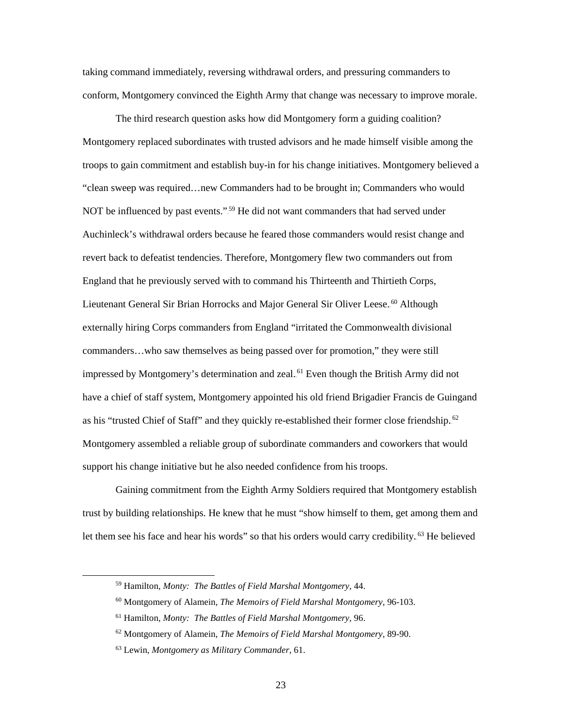taking command immediately, reversing withdrawal orders, and pressuring commanders to conform, Montgomery convinced the Eighth Army that change was necessary to improve morale.

The third research question asks how did Montgomery form a guiding coalition? Montgomery replaced subordinates with trusted advisors and he made himself visible among the troops to gain commitment and establish buy-in for his change initiatives. Montgomery believed a "clean sweep was required…new Commanders had to be brought in; Commanders who would NOT be influenced by past events."<sup>59</sup> He did not want commanders that had served under Auchinleck's withdrawal orders because he feared those commanders would resist change and revert back to defeatist tendencies. Therefore, Montgomery flew two commanders out from England that he previously served with to command his Thirteenth and Thirtieth Corps, Lieutenant General Sir Brian Horrocks and Major General Sir Oliver Leese.<sup>60</sup> Although externally hiring Corps commanders from England "irritated the Commonwealth divisional commanders…who saw themselves as being passed over for promotion," they were still impressed by Montgomery's determination and zeal.<sup>61</sup> Even though the British Army did not have a chief of staff system, Montgomery appointed his old friend Brigadier Francis de Guingand as his "trusted Chief of Staff" and they quickly re-established their former close friendship.<sup>62</sup> Montgomery assembled a reliable group of subordinate commanders and coworkers that would support his change initiative but he also needed confidence from his troops.

Gaining commitment from the Eighth Army Soldiers required that Montgomery establish trust by building relationships. He knew that he must "show himself to them, get among them and let them see his face and hear his words" so that his orders would carry credibility.<sup>63</sup> He believed

- <sup>60</sup> Montgomery of Alamein, *The Memoirs of Field Marshal Montgomery*, 96-103.
- <sup>61</sup> Hamilton, *Monty: The Battles of Field Marshal Montgomery*, 96.
- <sup>62</sup> Montgomery of Alamein, *The Memoirs of Field Marshal Montgomery*, 89-90.

 <sup>59</sup> Hamilton, *Monty: The Battles of Field Marshal Montgomery*, 44.

<sup>63</sup> Lewin, *Montgomery as Military Commander*, 61.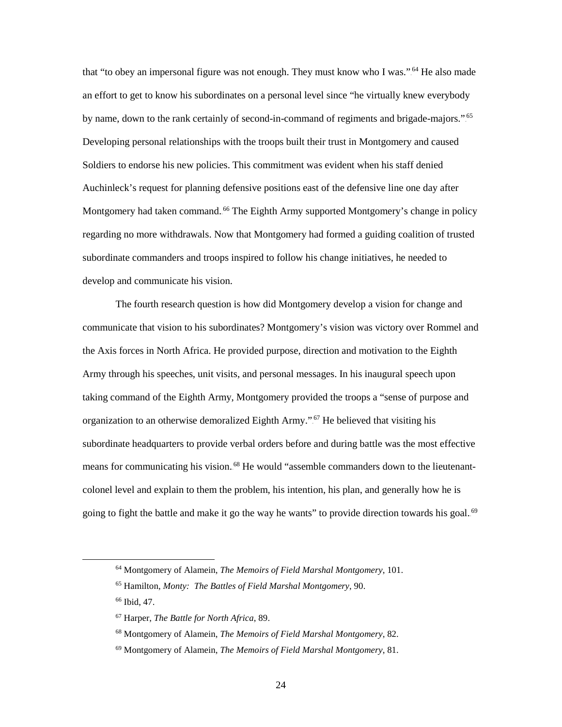that "to obey an impersonal figure was not enough. They must know who I was.".<sup>64</sup> He also made an effort to get to know his subordinates on a personal level since "he virtually knew everybody by name, down to the rank certainly of second-in-command of regiments and brigade-majors."<sup>65</sup> Developing personal relationships with the troops built their trust in Montgomery and caused Soldiers to endorse his new policies. This commitment was evident when his staff denied Auchinleck's request for planning defensive positions east of the defensive line one day after Montgomery had taken command.<sup>66</sup> The Eighth Army supported Montgomery's change in policy regarding no more withdrawals. Now that Montgomery had formed a guiding coalition of trusted subordinate commanders and troops inspired to follow his change initiatives, he needed to develop and communicate his vision.

The fourth research question is how did Montgomery develop a vision for change and communicate that vision to his subordinates? Montgomery's vision was victory over Rommel and the Axis forces in North Africa. He provided purpose, direction and motivation to the Eighth Army through his speeches, unit visits, and personal messages. In his inaugural speech upon taking command of the Eighth Army, Montgomery provided the troops a "sense of purpose and organization to an otherwise demoralized Eighth Army.".<sup>67</sup> He believed that visiting his subordinate headquarters to provide verbal orders before and during battle was the most effective means for communicating his vision.<sup>68</sup> He would "assemble commanders down to the lieutenantcolonel level and explain to them the problem, his intention, his plan, and generally how he is going to fight the battle and make it go the way he wants" to provide direction towards his goal.<sup>69</sup>

<sup>66</sup> Ibid, 47.

 <sup>64</sup> Montgomery of Alamein, *The Memoirs of Field Marshal Montgomery*, 101.

<sup>65</sup> Hamilton, *Monty: The Battles of Field Marshal Montgomery*, 90.

<sup>67</sup> Harper, *The Battle for North Africa*, 89.

<sup>68</sup> Montgomery of Alamein, *The Memoirs of Field Marshal Montgomery*, 82.

<sup>69</sup> Montgomery of Alamein, *The Memoirs of Field Marshal Montgomery*, 81.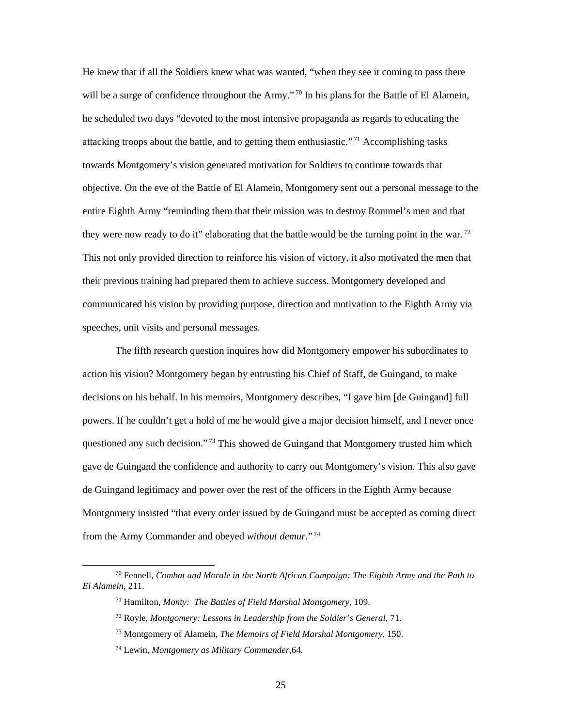He knew that if all the Soldiers knew what was wanted, "when they see it coming to pass there will be a surge of confidence throughout the Army."<sup>70</sup> In his plans for the Battle of El Alamein, he scheduled two days "devoted to the most intensive propaganda as regards to educating the attacking troops about the battle, and to getting them enthusiastic."<sup>71</sup> Accomplishing tasks towards Montgomery's vision generated motivation for Soldiers to continue towards that objective. On the eve of the Battle of El Alamein, Montgomery sent out a personal message to the entire Eighth Army "reminding them that their mission was to destroy Rommel's men and that they were now ready to do it" elaborating that the battle would be the turning point in the war.<sup>72</sup> This not only provided direction to reinforce his vision of victory, it also motivated the men that their previous training had prepared them to achieve success. Montgomery developed and communicated his vision by providing purpose, direction and motivation to the Eighth Army via speeches, unit visits and personal messages.

The fifth research question inquires how did Montgomery empower his subordinates to action his vision? Montgomery began by entrusting his Chief of Staff, de Guingand, to make decisions on his behalf. In his memoirs, Montgomery describes, "I gave him [de Guingand] full powers. If he couldn't get a hold of me he would give a major decision himself, and I never once questioned any such decision."<sup>73</sup> This showed de Guingand that Montgomery trusted him which gave de Guingand the confidence and authority to carry out Montgomery's vision. This also gave de Guingand legitimacy and power over the rest of the officers in the Eighth Army because Montgomery insisted "that every order issued by de Guingand must be accepted as coming direct from the Army Commander and obeyed *without demur*."<sup>74</sup>

 <sup>70</sup> Fennell, *Combat and Morale in the North African Campaign: The Eighth Army and the Path to El Alamein*, 211.

<sup>71</sup> Hamilton, *Monty: The Battles of Field Marshal Montgomery*, 109.

<sup>72</sup> Royle, *Montgomery: Lessons in Leadership from the Soldier's General*, 71.

<sup>73</sup> Montgomery of Alamein, *The Memoirs of Field Marshal Montgomery*, 150.

<sup>74</sup> Lewin, *Montgomery as Military Commander*,64.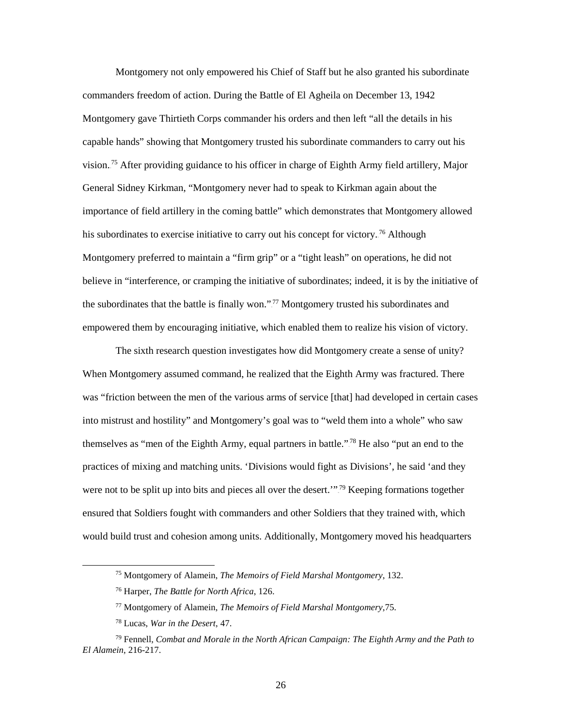Montgomery not only empowered his Chief of Staff but he also granted his subordinate commanders freedom of action. During the Battle of El Agheila on December 13, 1942 Montgomery gave Thirtieth Corps commander his orders and then left "all the details in his capable hands" showing that Montgomery trusted his subordinate commanders to carry out his vision.<sup>75</sup> After providing guidance to his officer in charge of Eighth Army field artillery, Major General Sidney Kirkman, "Montgomery never had to speak to Kirkman again about the importance of field artillery in the coming battle" which demonstrates that Montgomery allowed his subordinates to exercise initiative to carry out his concept for victory.<sup>76</sup> Although Montgomery preferred to maintain a "firm grip" or a "tight leash" on operations, he did not believe in "interference, or cramping the initiative of subordinates; indeed, it is by the initiative of the subordinates that the battle is finally won."<sup>77</sup> Montgomery trusted his subordinates and empowered them by encouraging initiative, which enabled them to realize his vision of victory.

The sixth research question investigates how did Montgomery create a sense of unity? When Montgomery assumed command, he realized that the Eighth Army was fractured. There was "friction between the men of the various arms of service [that] had developed in certain cases into mistrust and hostility" and Montgomery's goal was to "weld them into a whole" who saw themselves as "men of the Eighth Army, equal partners in battle."<sup>78</sup> He also "put an end to the practices of mixing and matching units. 'Divisions would fight as Divisions', he said 'and they were not to be split up into bits and pieces all over the desert."<sup>79</sup> Keeping formations together ensured that Soldiers fought with commanders and other Soldiers that they trained with, which would build trust and cohesion among units. Additionally, Montgomery moved his headquarters

 <sup>75</sup> Montgomery of Alamein, *The Memoirs of Field Marshal Montgomery*, 132.

<sup>76</sup> Harper, *The Battle for North Africa*, 126.

<sup>77</sup> Montgomery of Alamein, *The Memoirs of Field Marshal Montgomery*,75.

<sup>78</sup> Lucas, *War in the Desert*, 47.

<sup>79</sup> Fennell, *Combat and Morale in the North African Campaign: The Eighth Army and the Path to El Alamein*, 216-217.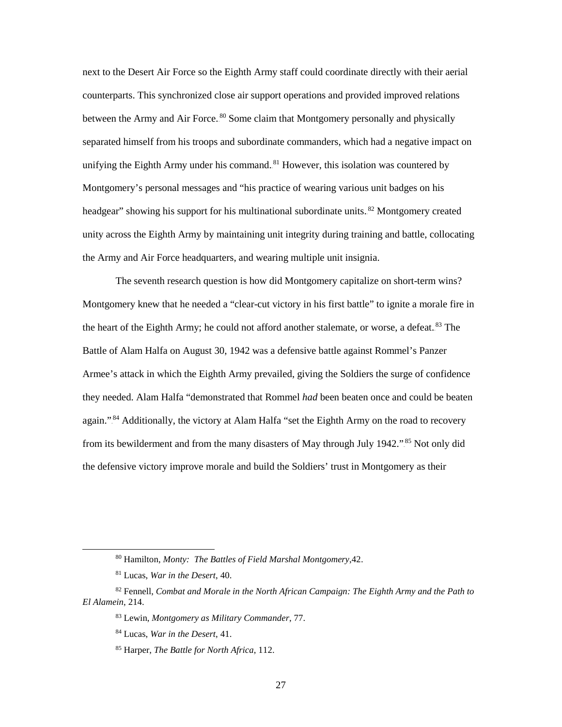next to the Desert Air Force so the Eighth Army staff could coordinate directly with their aerial counterparts. This synchronized close air support operations and provided improved relations between the Army and Air Force.<sup>80</sup> Some claim that Montgomery personally and physically separated himself from his troops and subordinate commanders, which had a negative impact on unifying the Eighth Army under his command.<sup>81</sup> However, this isolation was countered by Montgomery's personal messages and "his practice of wearing various unit badges on his headgear" showing his support for his multinational subordinate units.<sup>82</sup> Montgomery created unity across the Eighth Army by maintaining unit integrity during training and battle, collocating the Army and Air Force headquarters, and wearing multiple unit insignia.

The seventh research question is how did Montgomery capitalize on short-term wins? Montgomery knew that he needed a "clear-cut victory in his first battle" to ignite a morale fire in the heart of the Eighth Army; he could not afford another stalemate, or worse, a defeat.<sup>83</sup> The Battle of Alam Halfa on August 30, 1942 was a defensive battle against Rommel's Panzer Armee's attack in which the Eighth Army prevailed, giving the Soldiers the surge of confidence they needed. Alam Halfa "demonstrated that Rommel *had* been beaten once and could be beaten again."<sup>84</sup> Additionally, the victory at Alam Halfa "set the Eighth Army on the road to recovery from its bewilderment and from the many disasters of May through July 1942."<sup>85</sup> Not only did the defensive victory improve morale and build the Soldiers' trust in Montgomery as their

 <sup>80</sup> Hamilton, *Monty: The Battles of Field Marshal Montgomery*,42.

<sup>81</sup> Lucas, *War in the Desert*, 40.

<sup>82</sup> Fennell, *Combat and Morale in the North African Campaign: The Eighth Army and the Path to El Alamein*, 214.

<sup>83</sup> Lewin, *Montgomery as Military Commander*, 77.

<sup>84</sup> Lucas, *War in the Desert*, 41.

<sup>85</sup> Harper, *The Battle for North Africa*, 112.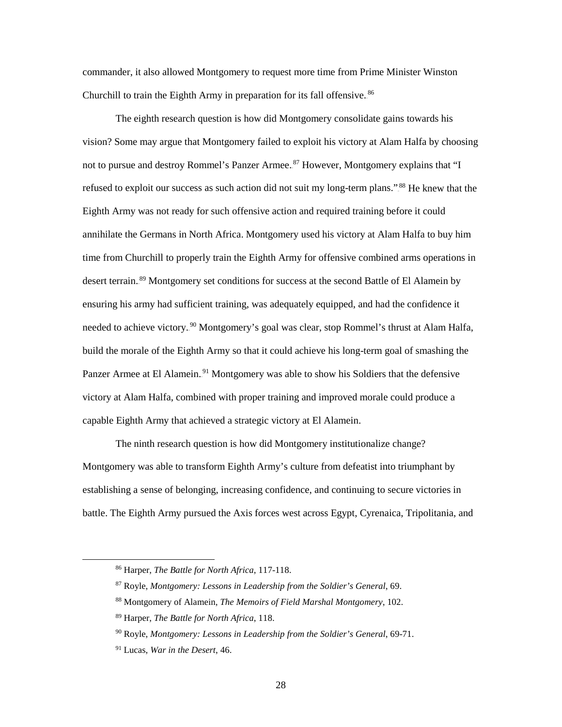commander, it also allowed Montgomery to request more time from Prime Minister Winston Churchill to train the Eighth Army in preparation for its fall offensive.<sup>86</sup>

The eighth research question is how did Montgomery consolidate gains towards his vision? Some may argue that Montgomery failed to exploit his victory at Alam Halfa by choosing not to pursue and destroy Rommel's Panzer Armee.<sup>87</sup> However, Montgomery explains that "I refused to exploit our success as such action did not suit my long-term plans."<sup>88</sup> He knew that the Eighth Army was not ready for such offensive action and required training before it could annihilate the Germans in North Africa. Montgomery used his victory at Alam Halfa to buy him time from Churchill to properly train the Eighth Army for offensive combined arms operations in desert terrain.<sup>89</sup> Montgomery set conditions for success at the second Battle of El Alamein by ensuring his army had sufficient training, was adequately equipped, and had the confidence it needed to achieve victory.<sup>90</sup> Montgomery's goal was clear, stop Rommel's thrust at Alam Halfa, build the morale of the Eighth Army so that it could achieve his long-term goal of smashing the Panzer Armee at El Alamein.<sup>91</sup> Montgomery was able to show his Soldiers that the defensive victory at Alam Halfa, combined with proper training and improved morale could produce a capable Eighth Army that achieved a strategic victory at El Alamein.

The ninth research question is how did Montgomery institutionalize change? Montgomery was able to transform Eighth Army's culture from defeatist into triumphant by establishing a sense of belonging, increasing confidence, and continuing to secure victories in battle. The Eighth Army pursued the Axis forces west across Egypt, Cyrenaica, Tripolitania, and

 <sup>86</sup> Harper, *The Battle for North Africa*, 117-118.

<sup>87</sup> Royle, *Montgomery: Lessons in Leadership from the Soldier's General*, 69.

<sup>88</sup> Montgomery of Alamein, *The Memoirs of Field Marshal Montgomery*, 102.

<sup>89</sup> Harper, *The Battle for North Africa*, 118.

<sup>90</sup> Royle, *Montgomery: Lessons in Leadership from the Soldier's General*, 69-71.

<sup>91</sup> Lucas, *War in the Desert*, 46.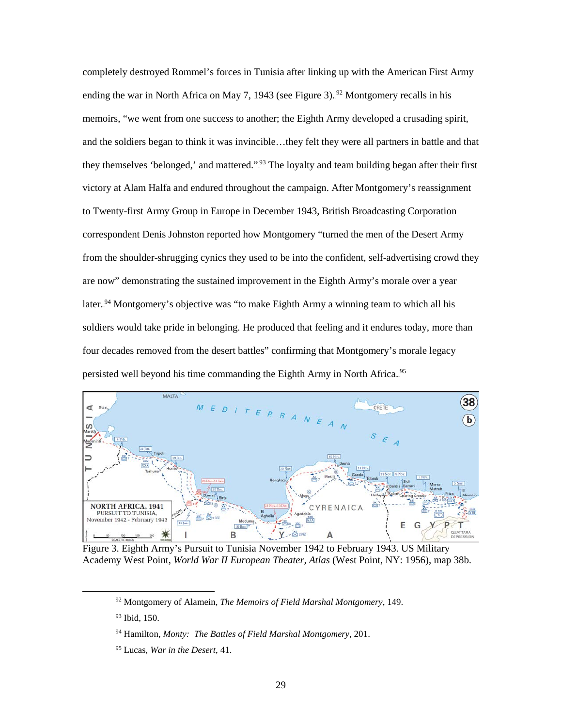completely destroyed Rommel's forces in Tunisia after linking up with the American First Army ending the war in North Africa on May 7, 1943 (see Figure 3).<sup>92</sup> Montgomery recalls in his memoirs, "we went from one success to another; the Eighth Army developed a crusading spirit, and the soldiers began to think it was invincible…they felt they were all partners in battle and that they themselves 'belonged,' and mattered."<sup>93</sup> The loyalty and team building began after their first victory at Alam Halfa and endured throughout the campaign. After Montgomery's reassignment to Twenty-first Army Group in Europe in December 1943, British Broadcasting Corporation correspondent Denis Johnston reported how Montgomery "turned the men of the Desert Army from the shoulder-shrugging cynics they used to be into the confident, self-advertising crowd they are now" demonstrating the sustained improvement in the Eighth Army's morale over a year later.<sup>94</sup> Montgomery's objective was "to make Eighth Army a winning team to which all his soldiers would take pride in belonging. He produced that feeling and it endures today, more than four decades removed from the desert battles" confirming that Montgomery's morale legacy persisted well beyond his time commanding the Eighth Army in North Africa.<sup>95</sup>



Figure 3. Eighth Army's Pursuit to Tunisia November 1942 to February 1943. US Military Academy West Point, *World War II European Theater, Atlas* (West Point, NY: 1956), map 38b.

 <sup>92</sup> Montgomery of Alamein, *The Memoirs of Field Marshal Montgomery*, 149.

<sup>93</sup> Ibid, 150.

<sup>94</sup> Hamilton, *Monty: The Battles of Field Marshal Montgomery*, 201.

<sup>95</sup> Lucas, *War in the Desert*, 41.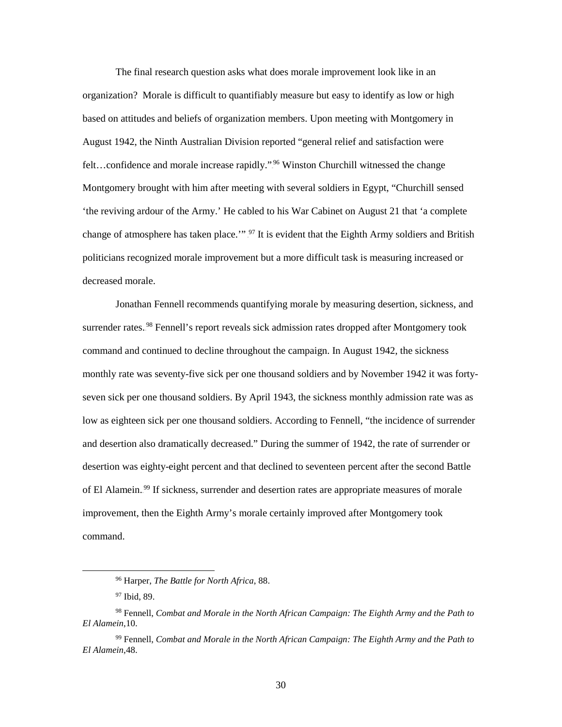The final research question asks what does morale improvement look like in an organization? Morale is difficult to quantifiably measure but easy to identify as low or high based on attitudes and beliefs of organization members. Upon meeting with Montgomery in August 1942, the Ninth Australian Division reported "general relief and satisfaction were felt...confidence and morale increase rapidly."<sup>96</sup> Winston Churchill witnessed the change Montgomery brought with him after meeting with several soldiers in Egypt, "Churchill sensed 'the reviving ardour of the Army.' He cabled to his War Cabinet on August 21 that 'a complete change of atmosphere has taken place."<sup>97</sup> It is evident that the Eighth Army soldiers and British politicians recognized morale improvement but a more difficult task is measuring increased or decreased morale.

Jonathan Fennell recommends quantifying morale by measuring desertion, sickness, and surrender rates.<sup>98</sup> Fennell's report reveals sick admission rates dropped after Montgomery took command and continued to decline throughout the campaign. In August 1942, the sickness monthly rate was seventy-five sick per one thousand soldiers and by November 1942 it was fortyseven sick per one thousand soldiers. By April 1943, the sickness monthly admission rate was as low as eighteen sick per one thousand soldiers. According to Fennell, "the incidence of surrender and desertion also dramatically decreased." During the summer of 1942, the rate of surrender or desertion was eighty-eight percent and that declined to seventeen percent after the second Battle of El Alamein.<sup>99</sup> If sickness, surrender and desertion rates are appropriate measures of morale improvement, then the Eighth Army's morale certainly improved after Montgomery took command.

 <sup>96</sup> Harper, *The Battle for North Africa*, 88.

<sup>97</sup> Ibid, 89.

<sup>98</sup> Fennell, *Combat and Morale in the North African Campaign: The Eighth Army and the Path to El Alamein*,10.

<sup>99</sup> Fennell, *Combat and Morale in the North African Campaign: The Eighth Army and the Path to El Alamein*,48.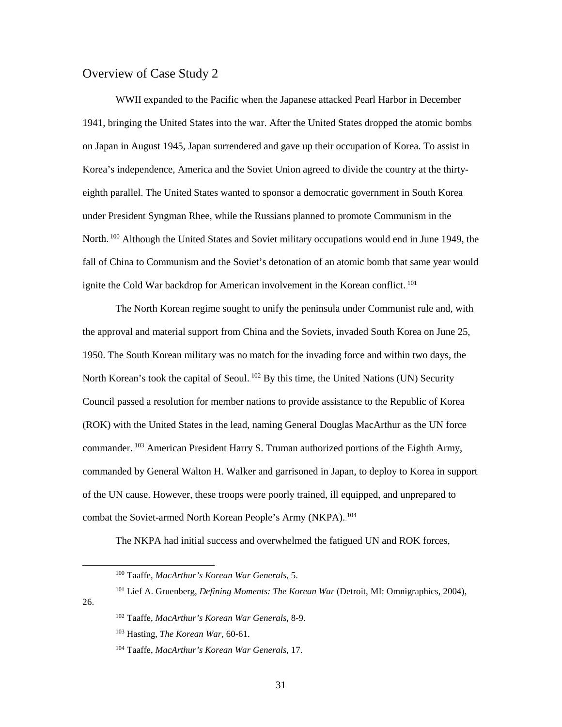#### Overview of Case Study 2

WWII expanded to the Pacific when the Japanese attacked Pearl Harbor in December 1941, bringing the United States into the war. After the United States dropped the atomic bombs on Japan in August 1945, Japan surrendered and gave up their occupation of Korea. To assist in Korea's independence, America and the Soviet Union agreed to divide the country at the thirtyeighth parallel. The United States wanted to sponsor a democratic government in South Korea under President Syngman Rhee, while the Russians planned to promote Communism in the North.<sup>100</sup> Although the United States and Soviet military occupations would end in June 1949, the fall of China to Communism and the Soviet's detonation of an atomic bomb that same year would ignite the Cold War backdrop for American involvement in the Korean conflict.<sup>101</sup>

 The North Korean regime sought to unify the peninsula under Communist rule and, with the approval and material support from China and the Soviets, invaded South Korea on June 25, 1950. The South Korean military was no match for the invading force and within two days, the North Korean's took the capital of Seoul. <sup>102</sup> By this time, the United Nations (UN) Security Council passed a resolution for member nations to provide assistance to the Republic of Korea (ROK) with the United States in the lead, naming General Douglas MacArthur as the UN force commander.<sup>103</sup> American President Harry S. Truman authorized portions of the Eighth Army, commanded by General Walton H. Walker and garrisoned in Japan, to deploy to Korea in support of the UN cause. However, these troops were poorly trained, ill equipped, and unprepared to combat the Soviet-armed North Korean People's Army (NKPA).<sup>104</sup>

The NKPA had initial success and overwhelmed the fatigued UN and ROK forces,

 <sup>100</sup> Taaffe, *MacArthur's Korean War Generals*, 5.

<sup>101</sup> Lief A. Gruenberg, *Defining Moments: The Korean War* (Detroit, MI: Omnigraphics, 2004), 26.

<sup>102</sup> Taaffe, *MacArthur's Korean War Generals*, 8-9.

<sup>103</sup> Hasting, *The Korean War*, 60-61.

<sup>104</sup> Taaffe, *MacArthur's Korean War Generals*, 17.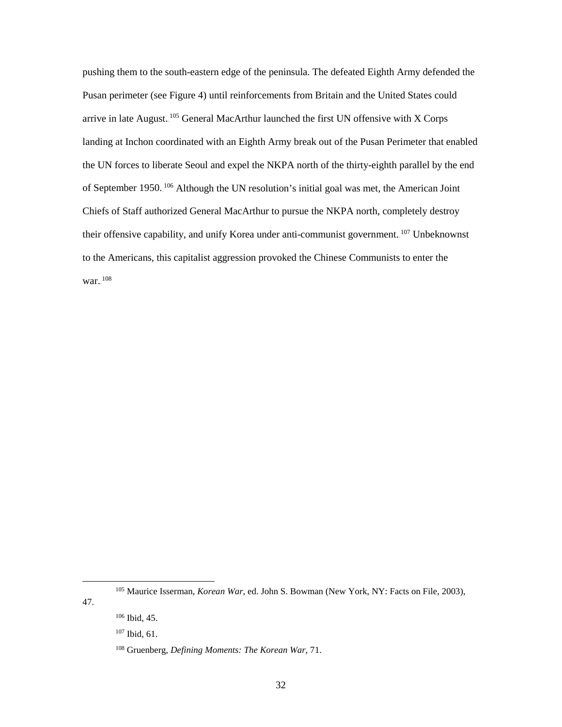pushing them to the south-eastern edge of the peninsula. The defeated Eighth Army defended the Pusan perimeter (see Figure 4) until reinforcements from Britain and the United States could arrive in late August.<sup>105</sup> General MacArthur launched the first UN offensive with X Corps landing at Inchon coordinated with an Eighth Army break out of the Pusan Perimeter that enabled the UN forces to liberate Seoul and expel the NKPA north of the thirty-eighth parallel by the end of September 1950.<sup>106</sup> Although the UN resolution's initial goal was met, the American Joint Chiefs of Staff authorized General MacArthur to pursue the NKPA north, completely destroy their offensive capability, and unify Korea under anti-communist government.<sup>107</sup> Unbeknownst to the Americans, this capitalist aggression provoked the Chinese Communists to enter the war. $108$ 

47.

 <sup>105</sup> Maurice Isserman, *Korean War*, ed. John S. Bowman (New York, NY: Facts on File, 2003),

<sup>106</sup> Ibid, 45.

<sup>107</sup> Ibid, 61.

<sup>108</sup> Gruenberg, *Defining Moments: The Korean War*, 71.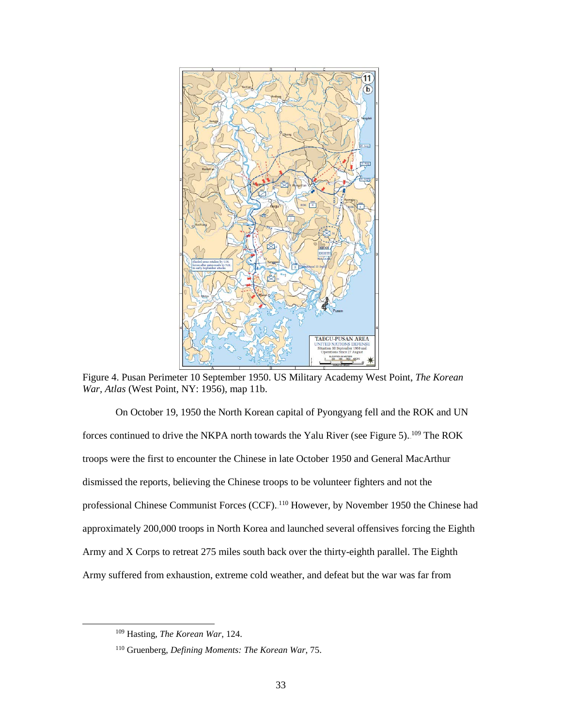

Figure 4. Pusan Perimeter 10 September 1950. US Military Academy West Point, *The Korean War, Atlas* (West Point, NY: 1956), map 11b.

 On October 19, 1950 the North Korean capital of Pyongyang fell and the ROK and UN forces continued to drive the NKPA north towards the Yalu River (see Figure 5).  $109$  The ROK troops were the first to encounter the Chinese in late October 1950 and General MacArthur dismissed the reports, believing the Chinese troops to be volunteer fighters and not the professional Chinese Communist Forces (CCF). <sup>110</sup> However, by November 1950 the Chinese had approximately 200,000 troops in North Korea and launched several offensives forcing the Eighth Army and X Corps to retreat 275 miles south back over the thirty-eighth parallel. The Eighth Army suffered from exhaustion, extreme cold weather, and defeat but the war was far from

 <sup>109</sup> Hasting, *The Korean War*, 124.

<sup>110</sup> Gruenberg, *Defining Moments: The Korean War*, 75.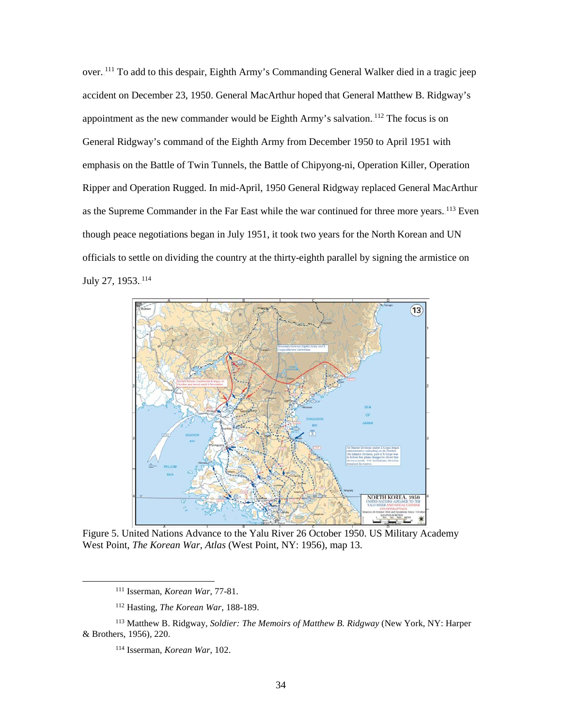over.<sup>111</sup> To add to this despair, Eighth Army's Commanding General Walker died in a tragic jeep accident on December 23, 1950. General MacArthur hoped that General Matthew B. Ridgway's appointment as the new commander would be Eighth Army's salvation.<sup>112</sup> The focus is on General Ridgway's command of the Eighth Army from December 1950 to April 1951 with emphasis on the Battle of Twin Tunnels, the Battle of Chipyong-ni, Operation Killer, Operation Ripper and Operation Rugged. In mid-April, 1950 General Ridgway replaced General MacArthur as the Supreme Commander in the Far East while the war continued for three more years. <sup>113</sup> Even though peace negotiations began in July 1951, it took two years for the North Korean and UN officials to settle on dividing the country at the thirty-eighth parallel by signing the armistice on July 27, 1953..<sup>114</sup>



Figure 5. United Nations Advance to the Yalu River 26 October 1950. US Military Academy West Point, *The Korean War, Atlas* (West Point, NY: 1956), map 13.

 <sup>111</sup> Isserman, *Korean War*, 77-81.

<sup>112</sup> Hasting, *The Korean War*, 188-189.

<sup>113</sup> Matthew B. Ridgway, *Soldier: The Memoirs of Matthew B. Ridgway* (New York, NY: Harper & Brothers, 1956), 220.

<sup>114</sup> Isserman, *Korean War*, 102.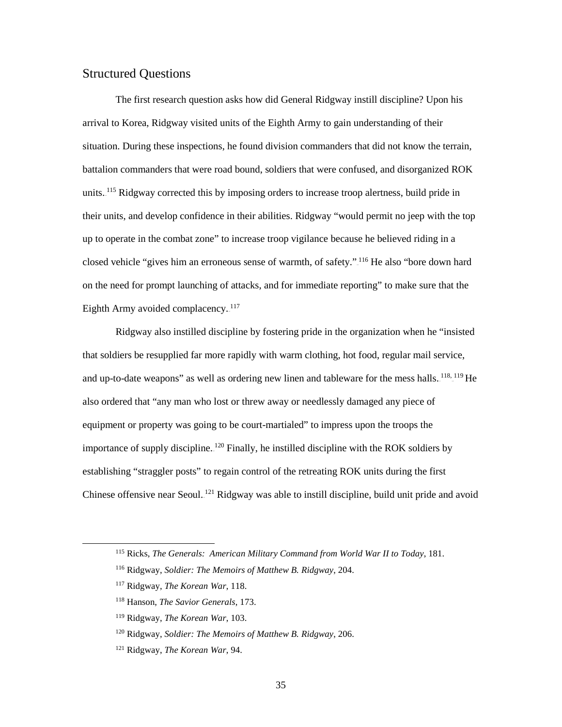## Structured Questions

The first research question asks how did General Ridgway instill discipline? Upon his arrival to Korea, Ridgway visited units of the Eighth Army to gain understanding of their situation. During these inspections, he found division commanders that did not know the terrain, battalion commanders that were road bound, soldiers that were confused, and disorganized ROK units.<sup>115</sup> Ridgway corrected this by imposing orders to increase troop alertness, build pride in their units, and develop confidence in their abilities. Ridgway "would permit no jeep with the top up to operate in the combat zone" to increase troop vigilance because he believed riding in a closed vehicle "gives him an erroneous sense of warmth, of safety." <sup>116</sup> He also "bore down hard on the need for prompt launching of attacks, and for immediate reporting" to make sure that the Eighth Army avoided complacency. $117$ 

Ridgway also instilled discipline by fostering pride in the organization when he "insisted that soldiers be resupplied far more rapidly with warm clothing, hot food, regular mail service, and up-to-date weapons" as well as ordering new linen and tableware for the mess halls.<sup>118, 119</sup> He also ordered that "any man who lost or threw away or needlessly damaged any piece of equipment or property was going to be court-martialed" to impress upon the troops the importance of supply discipline.  $120$  Finally, he instilled discipline with the ROK soldiers by establishing "straggler posts" to regain control of the retreating ROK units during the first Chinese offensive near Seoul.<sup>121</sup> Ridgway was able to instill discipline, build unit pride and avoid

 <sup>115</sup> Ricks, *The Generals: American Military Command from World War II to Today*, 181.

<sup>116</sup> Ridgway, *Soldier: The Memoirs of Matthew B. Ridgway*, 204.

<sup>117</sup> Ridgway, *The Korean War*, 118.

<sup>118</sup> Hanson, *The Savior Generals*, 173.

<sup>119</sup> Ridgway, *The Korean War*, 103.

<sup>120</sup> Ridgway, *Soldier: The Memoirs of Matthew B. Ridgway*, 206.

<sup>121</sup> Ridgway, *The Korean War*, 94.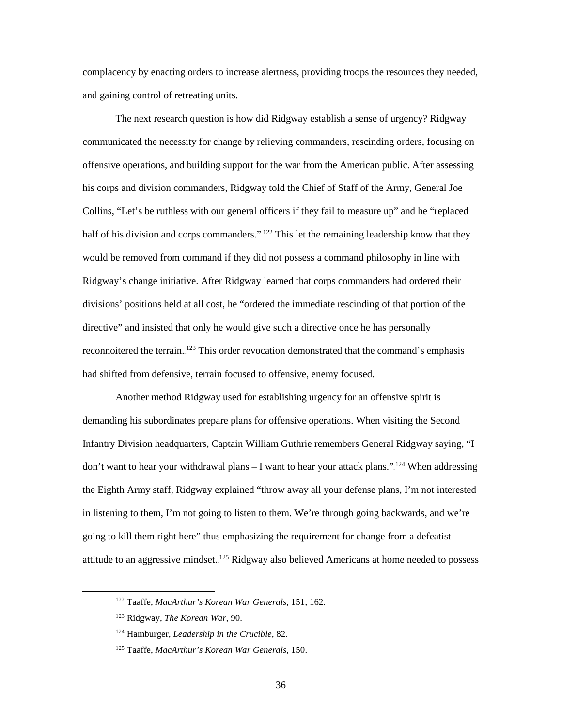complacency by enacting orders to increase alertness, providing troops the resources they needed, and gaining control of retreating units.

The next research question is how did Ridgway establish a sense of urgency? Ridgway communicated the necessity for change by relieving commanders, rescinding orders, focusing on offensive operations, and building support for the war from the American public. After assessing his corps and division commanders, Ridgway told the Chief of Staff of the Army, General Joe Collins, "Let's be ruthless with our general officers if they fail to measure up" and he "replaced half of his division and corps commanders.".<sup>122</sup> This let the remaining leadership know that they would be removed from command if they did not possess a command philosophy in line with Ridgway's change initiative. After Ridgway learned that corps commanders had ordered their divisions' positions held at all cost, he "ordered the immediate rescinding of that portion of the directive" and insisted that only he would give such a directive once he has personally reconnoitered the terrain.<sup>123</sup> This order revocation demonstrated that the command's emphasis had shifted from defensive, terrain focused to offensive, enemy focused.

Another method Ridgway used for establishing urgency for an offensive spirit is demanding his subordinates prepare plans for offensive operations. When visiting the Second Infantry Division headquarters, Captain William Guthrie remembers General Ridgway saying, "I don't want to hear your withdrawal plans  $-$  I want to hear your attack plans.".<sup>124</sup> When addressing the Eighth Army staff, Ridgway explained "throw away all your defense plans, I'm not interested in listening to them, I'm not going to listen to them. We're through going backwards, and we're going to kill them right here" thus emphasizing the requirement for change from a defeatist attitude to an aggressive mindset.<sup>125</sup> Ridgway also believed Americans at home needed to possess

 <sup>122</sup> Taaffe, *MacArthur's Korean War Generals*, 151, 162.

<sup>123</sup> Ridgway, *The Korean War*, 90.

<sup>124</sup> Hamburger, *Leadership in the Crucible*, 82.

<sup>125</sup> Taaffe, *MacArthur's Korean War Generals*, 150.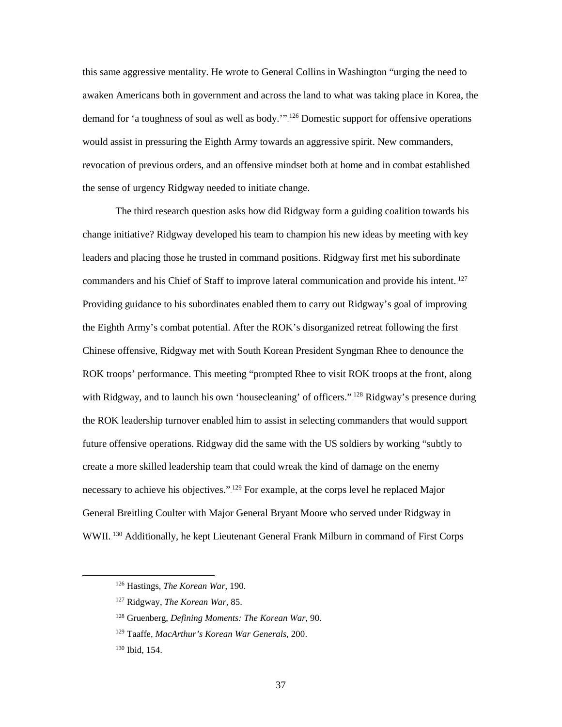this same aggressive mentality. He wrote to General Collins in Washington "urging the need to awaken Americans both in government and across the land to what was taking place in Korea, the demand for 'a toughness of soul as well as body."<sup>126</sup> Domestic support for offensive operations would assist in pressuring the Eighth Army towards an aggressive spirit. New commanders, revocation of previous orders, and an offensive mindset both at home and in combat established the sense of urgency Ridgway needed to initiate change.

The third research question asks how did Ridgway form a guiding coalition towards his change initiative? Ridgway developed his team to champion his new ideas by meeting with key leaders and placing those he trusted in command positions. Ridgway first met his subordinate commanders and his Chief of Staff to improve lateral communication and provide his intent.<sup>127</sup> Providing guidance to his subordinates enabled them to carry out Ridgway's goal of improving the Eighth Army's combat potential. After the ROK's disorganized retreat following the first Chinese offensive, Ridgway met with South Korean President Syngman Rhee to denounce the ROK troops' performance. This meeting "prompted Rhee to visit ROK troops at the front, along with Ridgway, and to launch his own 'housecleaning' of officers."<sup>128</sup> Ridgway's presence during the ROK leadership turnover enabled him to assist in selecting commanders that would support future offensive operations. Ridgway did the same with the US soldiers by working "subtly to create a more skilled leadership team that could wreak the kind of damage on the enemy necessary to achieve his objectives."<sup>129</sup> For example, at the corps level he replaced Major General Breitling Coulter with Major General Bryant Moore who served under Ridgway in WWII.<sup>130</sup> Additionally, he kept Lieutenant General Frank Milburn in command of First Corps

 <sup>126</sup> Hastings, *The Korean War*, 190.

<sup>127</sup> Ridgway, *The Korean War*, 85.

<sup>128</sup> Gruenberg, *Defining Moments: The Korean War*, 90.

<sup>129</sup> Taaffe, *MacArthur's Korean War Generals*, 200.

<sup>130</sup> Ibid, 154.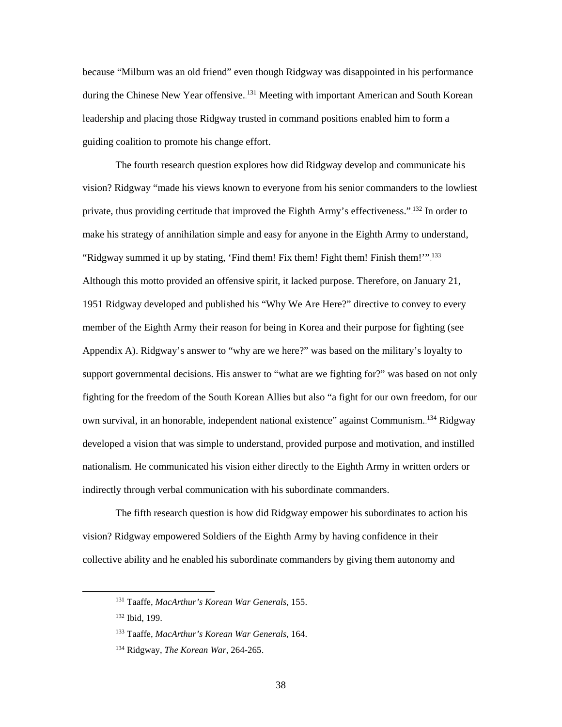because "Milburn was an old friend" even though Ridgway was disappointed in his performance during the Chinese New Year offensive. <sup>131</sup> Meeting with important American and South Korean leadership and placing those Ridgway trusted in command positions enabled him to form a guiding coalition to promote his change effort.

The fourth research question explores how did Ridgway develop and communicate his vision? Ridgway "made his views known to everyone from his senior commanders to the lowliest private, thus providing certitude that improved the Eighth Army's effectiveness."<sup>132</sup> In order to make his strategy of annihilation simple and easy for anyone in the Eighth Army to understand, "Ridgway summed it up by stating, 'Find them! Fix them! Fight them! Finish them!"<sup>133</sup> Although this motto provided an offensive spirit, it lacked purpose. Therefore, on January 21, 1951 Ridgway developed and published his "Why We Are Here?" directive to convey to every member of the Eighth Army their reason for being in Korea and their purpose for fighting (see Appendix A). Ridgway's answer to "why are we here?" was based on the military's loyalty to support governmental decisions. His answer to "what are we fighting for?" was based on not only fighting for the freedom of the South Korean Allies but also "a fight for our own freedom, for our own survival, in an honorable, independent national existence" against Communism. <sup>134</sup> Ridgway developed a vision that was simple to understand, provided purpose and motivation, and instilled nationalism. He communicated his vision either directly to the Eighth Army in written orders or indirectly through verbal communication with his subordinate commanders.

The fifth research question is how did Ridgway empower his subordinates to action his vision? Ridgway empowered Soldiers of the Eighth Army by having confidence in their collective ability and he enabled his subordinate commanders by giving them autonomy and

 <sup>131</sup> Taaffe, *MacArthur's Korean War Generals*, 155.

<sup>132</sup> Ibid, 199.

<sup>133</sup> Taaffe, *MacArthur's Korean War Generals*, 164.

<sup>134</sup> Ridgway, *The Korean War*, 264-265.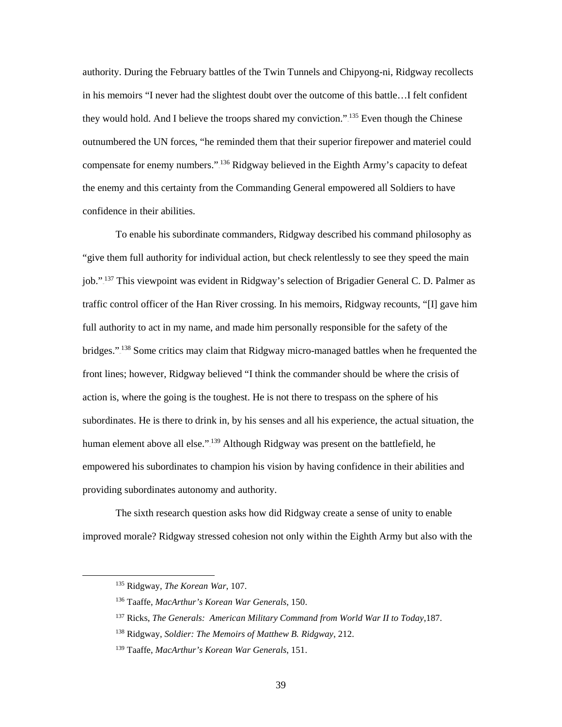authority. During the February battles of the Twin Tunnels and Chipyong-ni, Ridgway recollects in his memoirs "I never had the slightest doubt over the outcome of this battle…I felt confident they would hold. And I believe the troops shared my conviction.".<sup>135</sup> Even though the Chinese outnumbered the UN forces, "he reminded them that their superior firepower and materiel could compensate for enemy numbers."<sup>136</sup> Ridgway believed in the Eighth Army's capacity to defeat the enemy and this certainty from the Commanding General empowered all Soldiers to have confidence in their abilities.

To enable his subordinate commanders, Ridgway described his command philosophy as "give them full authority for individual action, but check relentlessly to see they speed the main job."<sup>137</sup> This viewpoint was evident in Ridgway's selection of Brigadier General C. D. Palmer as traffic control officer of the Han River crossing. In his memoirs, Ridgway recounts, "[I] gave him full authority to act in my name, and made him personally responsible for the safety of the bridges."<sup>138</sup> Some critics may claim that Ridgway micro-managed battles when he frequented the front lines; however, Ridgway believed "I think the commander should be where the crisis of action is, where the going is the toughest. He is not there to trespass on the sphere of his subordinates. He is there to drink in, by his senses and all his experience, the actual situation, the human element above all else." <sup>139</sup> Although Ridgway was present on the battlefield, he empowered his subordinates to champion his vision by having confidence in their abilities and providing subordinates autonomy and authority.

The sixth research question asks how did Ridgway create a sense of unity to enable improved morale? Ridgway stressed cohesion not only within the Eighth Army but also with the

 <sup>135</sup> Ridgway, *The Korean War*, 107.

<sup>136</sup> Taaffe, *MacArthur's Korean War Generals*, 150.

<sup>137</sup> Ricks, *The Generals: American Military Command from World War II to Today*,187.

<sup>138</sup> Ridgway, *Soldier: The Memoirs of Matthew B. Ridgway*, 212.

<sup>139</sup> Taaffe, *MacArthur's Korean War Generals*, 151.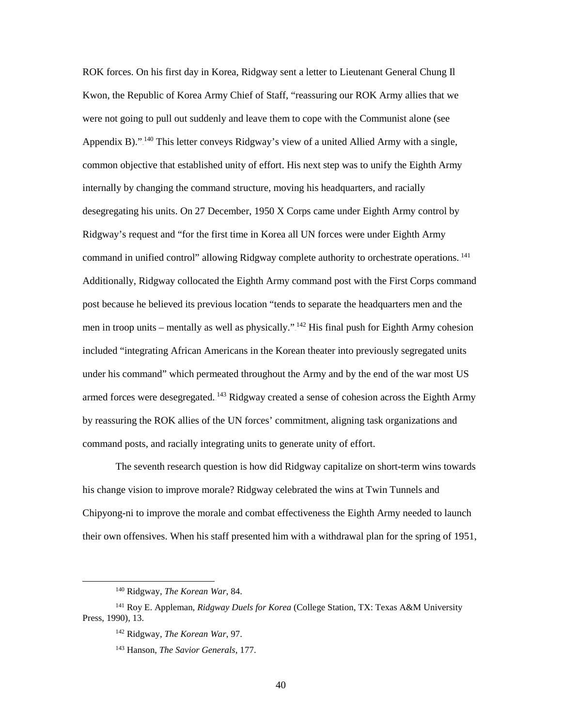ROK forces. On his first day in Korea, Ridgway sent a letter to Lieutenant General Chung Il Kwon, the Republic of Korea Army Chief of Staff, "reassuring our ROK Army allies that we were not going to pull out suddenly and leave them to cope with the Communist alone (see Appendix B)."<sup>140</sup> This letter conveys Ridgway's view of a united Allied Army with a single, common objective that established unity of effort. His next step was to unify the Eighth Army internally by changing the command structure, moving his headquarters, and racially desegregating his units. On 27 December, 1950 X Corps came under Eighth Army control by Ridgway's request and "for the first time in Korea all UN forces were under Eighth Army command in unified control" allowing Ridgway complete authority to orchestrate operations.<sup>141</sup> Additionally, Ridgway collocated the Eighth Army command post with the First Corps command post because he believed its previous location "tends to separate the headquarters men and the men in troop units – mentally as well as physically." $142$  His final push for Eighth Army cohesion included "integrating African Americans in the Korean theater into previously segregated units under his command" which permeated throughout the Army and by the end of the war most US armed forces were desegregated.<sup>143</sup> Ridgway created a sense of cohesion across the Eighth Army by reassuring the ROK allies of the UN forces' commitment, aligning task organizations and command posts, and racially integrating units to generate unity of effort.

The seventh research question is how did Ridgway capitalize on short-term wins towards his change vision to improve morale? Ridgway celebrated the wins at Twin Tunnels and Chipyong-ni to improve the morale and combat effectiveness the Eighth Army needed to launch their own offensives. When his staff presented him with a withdrawal plan for the spring of 1951,

 <sup>140</sup> Ridgway, *The Korean War*, 84.

<sup>141</sup> Roy E. Appleman, *Ridgway Duels for Korea* (College Station, TX: Texas A&M University Press, 1990), 13.

<sup>142</sup> Ridgway, *The Korean War*, 97.

<sup>143</sup> Hanson, *The Savior Generals*, 177.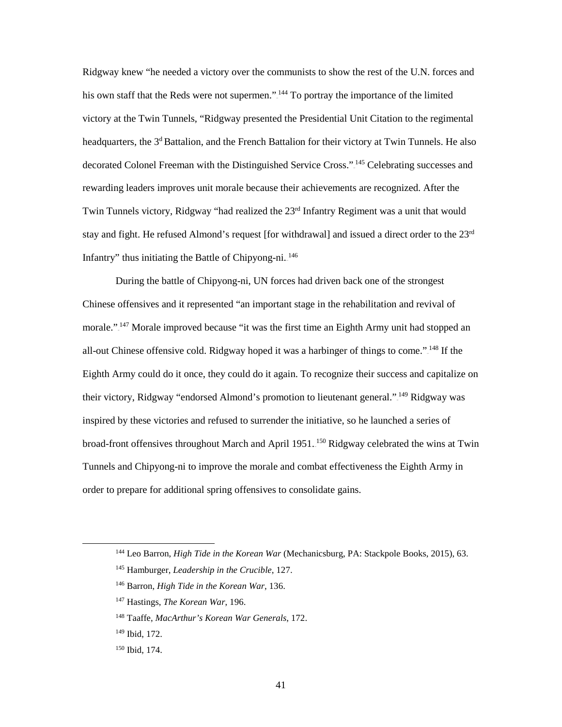Ridgway knew "he needed a victory over the communists to show the rest of the U.N. forces and his own staff that the Reds were not supermen."<sup>144</sup> To portray the importance of the limited victory at the Twin Tunnels, "Ridgway presented the Presidential Unit Citation to the regimental headquarters, the 3<sup>d</sup> Battalion, and the French Battalion for their victory at Twin Tunnels. He also decorated Colonel Freeman with the Distinguished Service Cross."<sup>145</sup> Celebrating successes and rewarding leaders improves unit morale because their achievements are recognized. After the Twin Tunnels victory, Ridgway "had realized the  $23<sup>rd</sup>$  Infantry Regiment was a unit that would stay and fight. He refused Almond's request [for withdrawal] and issued a direct order to the 23<sup>rd</sup> Infantry" thus initiating the Battle of Chipyong-ni.<sup>146</sup>

During the battle of Chipyong-ni, UN forces had driven back one of the strongest Chinese offensives and it represented "an important stage in the rehabilitation and revival of morale."<sup>147</sup> Morale improved because "it was the first time an Eighth Army unit had stopped an all-out Chinese offensive cold. Ridgway hoped it was a harbinger of things to come." <sup>148</sup> If the Eighth Army could do it once, they could do it again. To recognize their success and capitalize on their victory, Ridgway "endorsed Almond's promotion to lieutenant general."<sup>149</sup> Ridgway was inspired by these victories and refused to surrender the initiative, so he launched a series of broad-front offensives throughout March and April 1951.<sup>150</sup> Ridgway celebrated the wins at Twin Tunnels and Chipyong-ni to improve the morale and combat effectiveness the Eighth Army in order to prepare for additional spring offensives to consolidate gains.

 <sup>144</sup> Leo Barron, *High Tide in the Korean War* (Mechanicsburg, PA: Stackpole Books, 2015), 63.

<sup>145</sup> Hamburger, *Leadership in the Crucible*, 127.

<sup>146</sup> Barron, *High Tide in the Korean War*, 136.

<sup>147</sup> Hastings, *The Korean War*, 196.

<sup>148</sup> Taaffe, *MacArthur's Korean War Generals*, 172.

<sup>149</sup> Ibid, 172.

<sup>150</sup> Ibid, 174.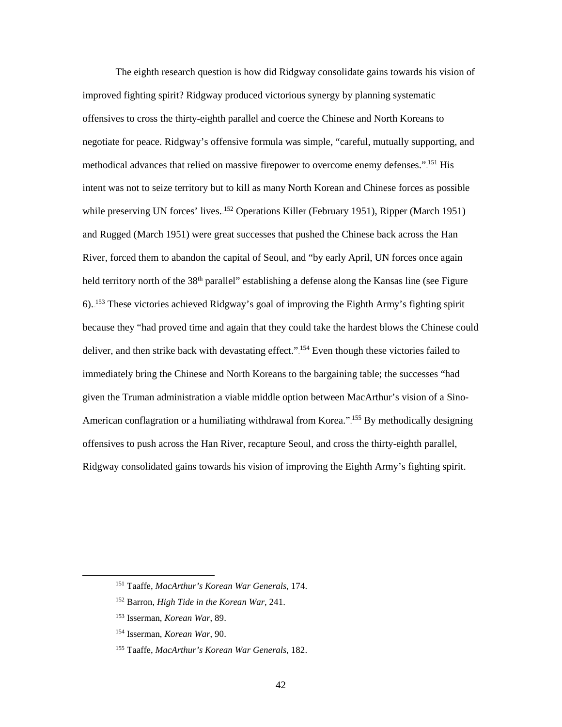The eighth research question is how did Ridgway consolidate gains towards his vision of improved fighting spirit? Ridgway produced victorious synergy by planning systematic offensives to cross the thirty-eighth parallel and coerce the Chinese and North Koreans to negotiate for peace. Ridgway's offensive formula was simple, "careful, mutually supporting, and methodical advances that relied on massive firepower to overcome enemy defenses.".<sup>151</sup> His intent was not to seize territory but to kill as many North Korean and Chinese forces as possible while preserving UN forces' lives.<sup>152</sup> Operations Killer (February 1951), Ripper (March 1951) and Rugged (March 1951) were great successes that pushed the Chinese back across the Han River, forced them to abandon the capital of Seoul, and "by early April, UN forces once again held territory north of the 38<sup>th</sup> parallel" establishing a defense along the Kansas line (see Figure 6).<sup>153</sup> These victories achieved Ridgway's goal of improving the Eighth Army's fighting spirit because they "had proved time and again that they could take the hardest blows the Chinese could deliver, and then strike back with devastating effect."<sup>154</sup> Even though these victories failed to immediately bring the Chinese and North Koreans to the bargaining table; the successes "had given the Truman administration a viable middle option between MacArthur's vision of a Sino-American conflagration or a humiliating withdrawal from Korea.".<sup>155</sup> By methodically designing offensives to push across the Han River, recapture Seoul, and cross the thirty-eighth parallel, Ridgway consolidated gains towards his vision of improving the Eighth Army's fighting spirit.

 <sup>151</sup> Taaffe, *MacArthur's Korean War Generals*, 174.

<sup>152</sup> Barron, *High Tide in the Korean War*, 241.

<sup>153</sup> Isserman, *Korean War*, 89.

<sup>154</sup> Isserman, *Korean War*, 90.

<sup>155</sup> Taaffe, *MacArthur's Korean War Generals*, 182.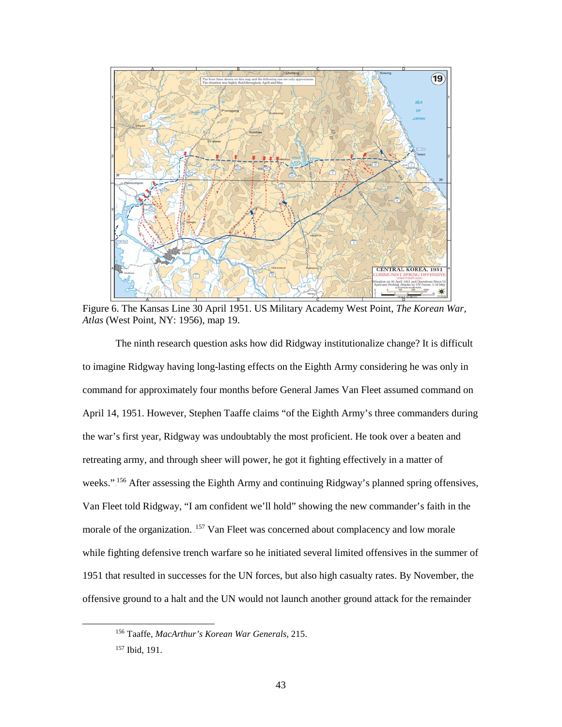

Figure 6. The Kansas Line 30 April 1951. US Military Academy West Point, *The Korean War, Atlas* (West Point, NY: 1956), map 19.

The ninth research question asks how did Ridgway institutionalize change? It is difficult to imagine Ridgway having long-lasting effects on the Eighth Army considering he was only in command for approximately four months before General James Van Fleet assumed command on April 14, 1951. However, Stephen Taaffe claims "of the Eighth Army's three commanders during the war's first year, Ridgway was undoubtably the most proficient. He took over a beaten and retreating army, and through sheer will power, he got it fighting effectively in a matter of weeks."<sup>156</sup> After assessing the Eighth Army and continuing Ridgway's planned spring offensives, Van Fleet told Ridgway, "I am confident we'll hold" showing the new commander's faith in the morale of the organization. <sup>157</sup> Van Fleet was concerned about complacency and low morale while fighting defensive trench warfare so he initiated several limited offensives in the summer of 1951 that resulted in successes for the UN forces, but also high casualty rates. By November, the offensive ground to a halt and the UN would not launch another ground attack for the remainder

 <sup>156</sup> Taaffe, *MacArthur's Korean War Generals*, 215.

<sup>157</sup> Ibid, 191.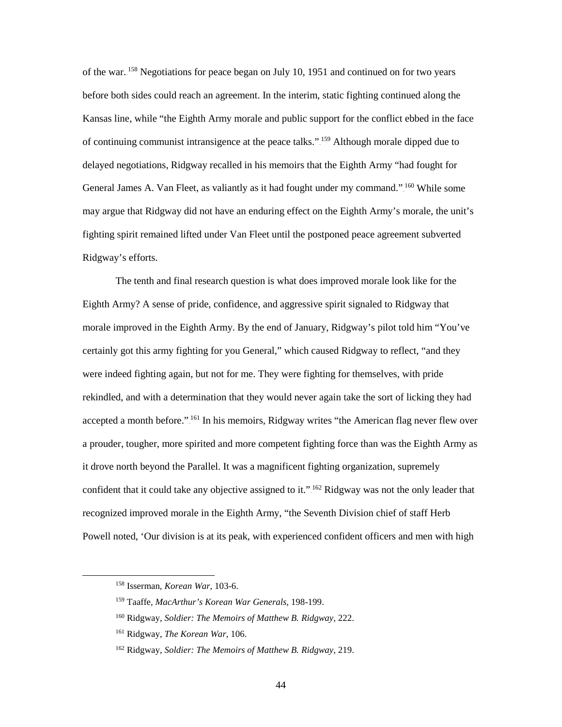of the war.<sup>158</sup> Negotiations for peace began on July 10, 1951 and continued on for two years before both sides could reach an agreement. In the interim, static fighting continued along the Kansas line, while "the Eighth Army morale and public support for the conflict ebbed in the face of continuing communist intransigence at the peace talks.".<sup>159</sup> Although morale dipped due to delayed negotiations, Ridgway recalled in his memoirs that the Eighth Army "had fought for General James A. Van Fleet, as valiantly as it had fought under my command." <sup>160</sup> While some may argue that Ridgway did not have an enduring effect on the Eighth Army's morale, the unit's fighting spirit remained lifted under Van Fleet until the postponed peace agreement subverted Ridgway's efforts.

The tenth and final research question is what does improved morale look like for the Eighth Army? A sense of pride, confidence, and aggressive spirit signaled to Ridgway that morale improved in the Eighth Army. By the end of January, Ridgway's pilot told him "You've certainly got this army fighting for you General," which caused Ridgway to reflect, "and they were indeed fighting again, but not for me. They were fighting for themselves, with pride rekindled, and with a determination that they would never again take the sort of licking they had accepted a month before."<sup>161</sup> In his memoirs, Ridgway writes "the American flag never flew over a prouder, tougher, more spirited and more competent fighting force than was the Eighth Army as it drove north beyond the Parallel. It was a magnificent fighting organization, supremely confident that it could take any objective assigned to it."<sup>162</sup> Ridgway was not the only leader that recognized improved morale in the Eighth Army, "the Seventh Division chief of staff Herb Powell noted, 'Our division is at its peak, with experienced confident officers and men with high

 <sup>158</sup> Isserman, *Korean War*, 103-6.

<sup>159</sup> Taaffe, *MacArthur's Korean War Generals*, 198-199.

<sup>160</sup> Ridgway, *Soldier: The Memoirs of Matthew B. Ridgway*, 222.

<sup>161</sup> Ridgway, *The Korean War*, 106.

<sup>162</sup> Ridgway, *Soldier: The Memoirs of Matthew B. Ridgway*, 219.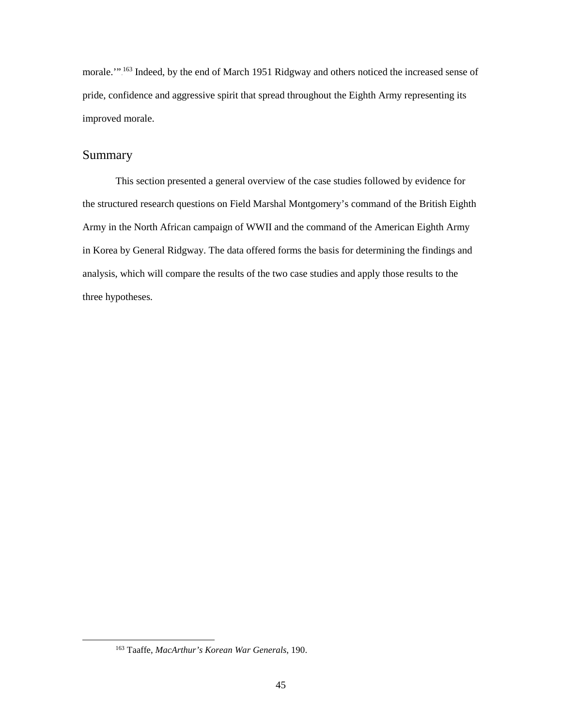morale."<sup>163</sup> Indeed, by the end of March 1951 Ridgway and others noticed the increased sense of pride, confidence and aggressive spirit that spread throughout the Eighth Army representing its improved morale.

## Summary

This section presented a general overview of the case studies followed by evidence for the structured research questions on Field Marshal Montgomery's command of the British Eighth Army in the North African campaign of WWII and the command of the American Eighth Army in Korea by General Ridgway. The data offered forms the basis for determining the findings and analysis, which will compare the results of the two case studies and apply those results to the three hypotheses.

 <sup>163</sup> Taaffe, *MacArthur's Korean War Generals*, 190.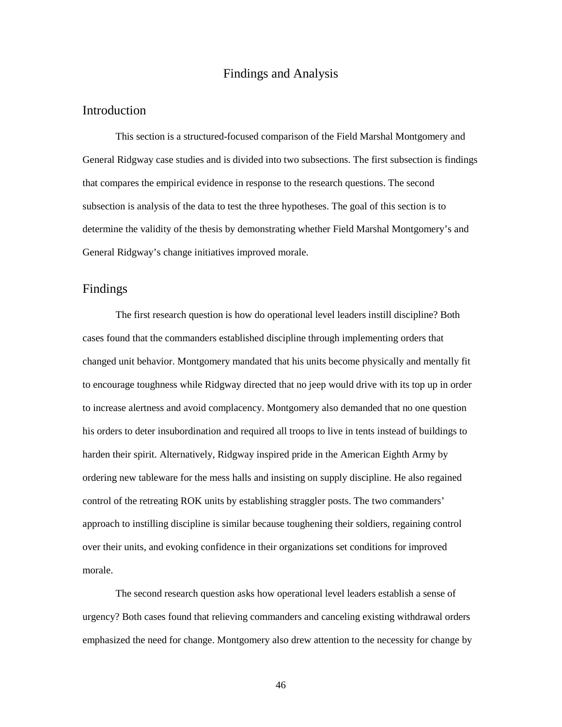#### Findings and Analysis

#### Introduction

This section is a structured-focused comparison of the Field Marshal Montgomery and General Ridgway case studies and is divided into two subsections. The first subsection is findings that compares the empirical evidence in response to the research questions. The second subsection is analysis of the data to test the three hypotheses. The goal of this section is to determine the validity of the thesis by demonstrating whether Field Marshal Montgomery's and General Ridgway's change initiatives improved morale.

#### Findings

 The first research question is how do operational level leaders instill discipline? Both cases found that the commanders established discipline through implementing orders that changed unit behavior. Montgomery mandated that his units become physically and mentally fit to encourage toughness while Ridgway directed that no jeep would drive with its top up in order to increase alertness and avoid complacency. Montgomery also demanded that no one question his orders to deter insubordination and required all troops to live in tents instead of buildings to harden their spirit. Alternatively, Ridgway inspired pride in the American Eighth Army by ordering new tableware for the mess halls and insisting on supply discipline. He also regained control of the retreating ROK units by establishing straggler posts. The two commanders' approach to instilling discipline is similar because toughening their soldiers, regaining control over their units, and evoking confidence in their organizations set conditions for improved morale.

 The second research question asks how operational level leaders establish a sense of urgency? Both cases found that relieving commanders and canceling existing withdrawal orders emphasized the need for change. Montgomery also drew attention to the necessity for change by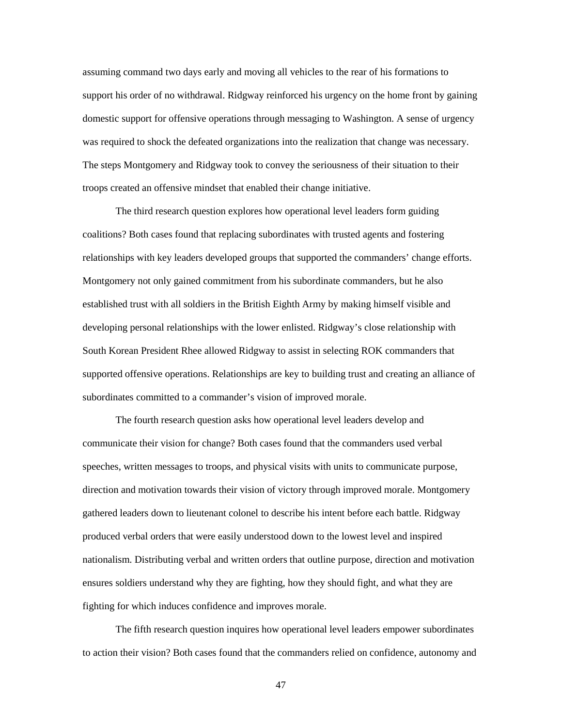assuming command two days early and moving all vehicles to the rear of his formations to support his order of no withdrawal. Ridgway reinforced his urgency on the home front by gaining domestic support for offensive operations through messaging to Washington. A sense of urgency was required to shock the defeated organizations into the realization that change was necessary. The steps Montgomery and Ridgway took to convey the seriousness of their situation to their troops created an offensive mindset that enabled their change initiative.

The third research question explores how operational level leaders form guiding coalitions? Both cases found that replacing subordinates with trusted agents and fostering relationships with key leaders developed groups that supported the commanders' change efforts. Montgomery not only gained commitment from his subordinate commanders, but he also established trust with all soldiers in the British Eighth Army by making himself visible and developing personal relationships with the lower enlisted. Ridgway's close relationship with South Korean President Rhee allowed Ridgway to assist in selecting ROK commanders that supported offensive operations. Relationships are key to building trust and creating an alliance of subordinates committed to a commander's vision of improved morale.

 The fourth research question asks how operational level leaders develop and communicate their vision for change? Both cases found that the commanders used verbal speeches, written messages to troops, and physical visits with units to communicate purpose, direction and motivation towards their vision of victory through improved morale. Montgomery gathered leaders down to lieutenant colonel to describe his intent before each battle. Ridgway produced verbal orders that were easily understood down to the lowest level and inspired nationalism. Distributing verbal and written orders that outline purpose, direction and motivation ensures soldiers understand why they are fighting, how they should fight, and what they are fighting for which induces confidence and improves morale.

 The fifth research question inquires how operational level leaders empower subordinates to action their vision? Both cases found that the commanders relied on confidence, autonomy and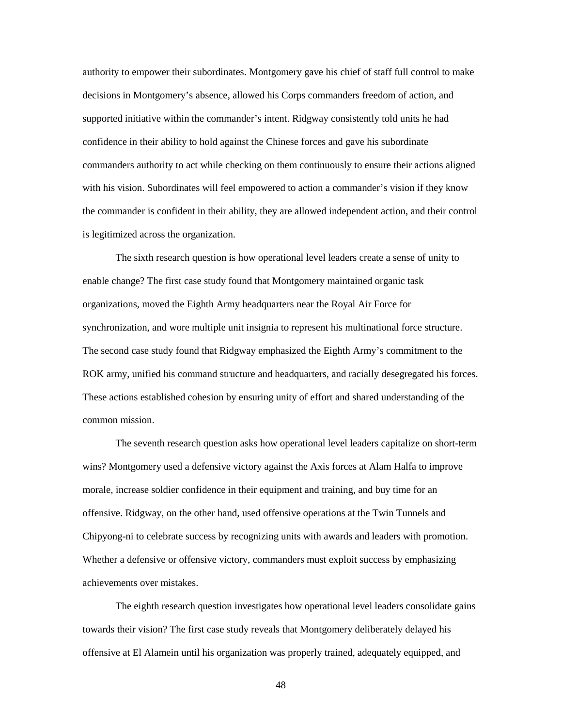authority to empower their subordinates. Montgomery gave his chief of staff full control to make decisions in Montgomery's absence, allowed his Corps commanders freedom of action, and supported initiative within the commander's intent. Ridgway consistently told units he had confidence in their ability to hold against the Chinese forces and gave his subordinate commanders authority to act while checking on them continuously to ensure their actions aligned with his vision. Subordinates will feel empowered to action a commander's vision if they know the commander is confident in their ability, they are allowed independent action, and their control is legitimized across the organization.

 The sixth research question is how operational level leaders create a sense of unity to enable change? The first case study found that Montgomery maintained organic task organizations, moved the Eighth Army headquarters near the Royal Air Force for synchronization, and wore multiple unit insignia to represent his multinational force structure. The second case study found that Ridgway emphasized the Eighth Army's commitment to the ROK army, unified his command structure and headquarters, and racially desegregated his forces. These actions established cohesion by ensuring unity of effort and shared understanding of the common mission.

The seventh research question asks how operational level leaders capitalize on short-term wins? Montgomery used a defensive victory against the Axis forces at Alam Halfa to improve morale, increase soldier confidence in their equipment and training, and buy time for an offensive. Ridgway, on the other hand, used offensive operations at the Twin Tunnels and Chipyong-ni to celebrate success by recognizing units with awards and leaders with promotion. Whether a defensive or offensive victory, commanders must exploit success by emphasizing achievements over mistakes.

 The eighth research question investigates how operational level leaders consolidate gains towards their vision? The first case study reveals that Montgomery deliberately delayed his offensive at El Alamein until his organization was properly trained, adequately equipped, and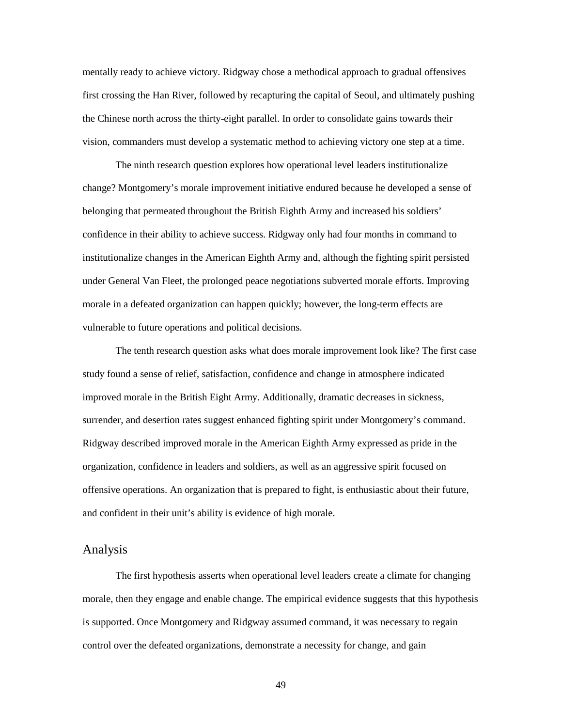mentally ready to achieve victory. Ridgway chose a methodical approach to gradual offensives first crossing the Han River, followed by recapturing the capital of Seoul, and ultimately pushing the Chinese north across the thirty-eight parallel. In order to consolidate gains towards their vision, commanders must develop a systematic method to achieving victory one step at a time.

The ninth research question explores how operational level leaders institutionalize change? Montgomery's morale improvement initiative endured because he developed a sense of belonging that permeated throughout the British Eighth Army and increased his soldiers' confidence in their ability to achieve success. Ridgway only had four months in command to institutionalize changes in the American Eighth Army and, although the fighting spirit persisted under General Van Fleet, the prolonged peace negotiations subverted morale efforts. Improving morale in a defeated organization can happen quickly; however, the long-term effects are vulnerable to future operations and political decisions.

 The tenth research question asks what does morale improvement look like? The first case study found a sense of relief, satisfaction, confidence and change in atmosphere indicated improved morale in the British Eight Army. Additionally, dramatic decreases in sickness, surrender, and desertion rates suggest enhanced fighting spirit under Montgomery's command. Ridgway described improved morale in the American Eighth Army expressed as pride in the organization, confidence in leaders and soldiers, as well as an aggressive spirit focused on offensive operations. An organization that is prepared to fight, is enthusiastic about their future, and confident in their unit's ability is evidence of high morale.

#### Analysis

The first hypothesis asserts when operational level leaders create a climate for changing morale, then they engage and enable change. The empirical evidence suggests that this hypothesis is supported. Once Montgomery and Ridgway assumed command, it was necessary to regain control over the defeated organizations, demonstrate a necessity for change, and gain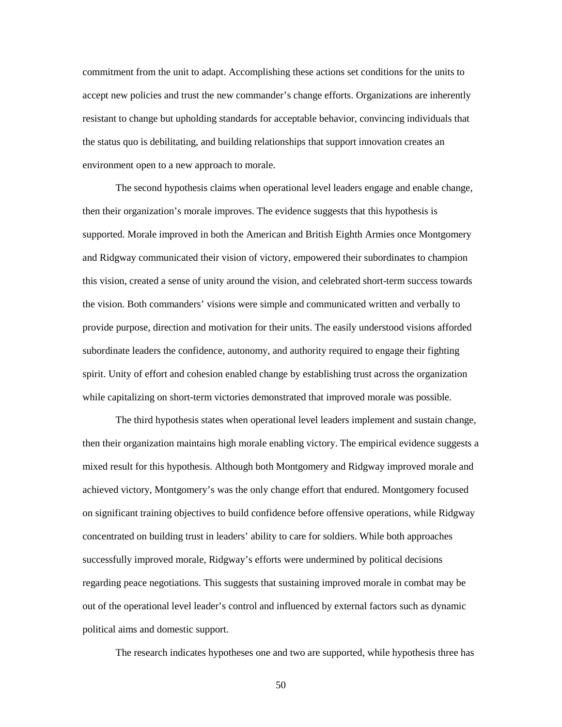commitment from the unit to adapt. Accomplishing these actions set conditions for the units to accept new policies and trust the new commander's change efforts. Organizations are inherently resistant to change but upholding standards for acceptable behavior, convincing individuals that the status quo is debilitating, and building relationships that support innovation creates an environment open to a new approach to morale.

 The second hypothesis claims when operational level leaders engage and enable change, then their organization's morale improves. The evidence suggests that this hypothesis is supported. Morale improved in both the American and British Eighth Armies once Montgomery and Ridgway communicated their vision of victory, empowered their subordinates to champion this vision, created a sense of unity around the vision, and celebrated short-term success towards the vision. Both commanders' visions were simple and communicated written and verbally to provide purpose, direction and motivation for their units. The easily understood visions afforded subordinate leaders the confidence, autonomy, and authority required to engage their fighting spirit. Unity of effort and cohesion enabled change by establishing trust across the organization while capitalizing on short-term victories demonstrated that improved morale was possible.

The third hypothesis states when operational level leaders implement and sustain change, then their organization maintains high morale enabling victory. The empirical evidence suggests a mixed result for this hypothesis. Although both Montgomery and Ridgway improved morale and achieved victory, Montgomery's was the only change effort that endured. Montgomery focused on significant training objectives to build confidence before offensive operations, while Ridgway concentrated on building trust in leaders' ability to care for soldiers. While both approaches successfully improved morale, Ridgway's efforts were undermined by political decisions regarding peace negotiations. This suggests that sustaining improved morale in combat may be out of the operational level leader's control and influenced by external factors such as dynamic political aims and domestic support.

The research indicates hypotheses one and two are supported, while hypothesis three has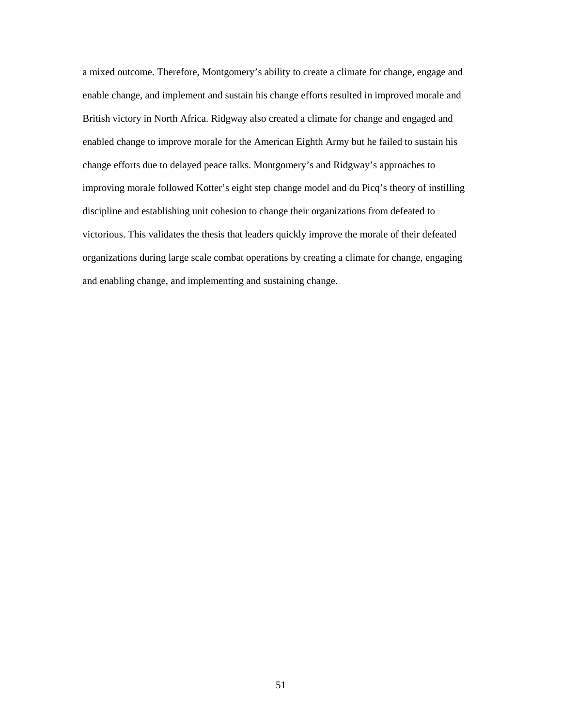a mixed outcome. Therefore, Montgomery's ability to create a climate for change, engage and enable change, and implement and sustain his change efforts resulted in improved morale and British victory in North Africa. Ridgway also created a climate for change and engaged and enabled change to improve morale for the American Eighth Army but he failed to sustain his change efforts due to delayed peace talks. Montgomery's and Ridgway's approaches to improving morale followed Kotter's eight step change model and du Picq's theory of instilling discipline and establishing unit cohesion to change their organizations from defeated to victorious. This validates the thesis that leaders quickly improve the morale of their defeated organizations during large scale combat operations by creating a climate for change, engaging and enabling change, and implementing and sustaining change.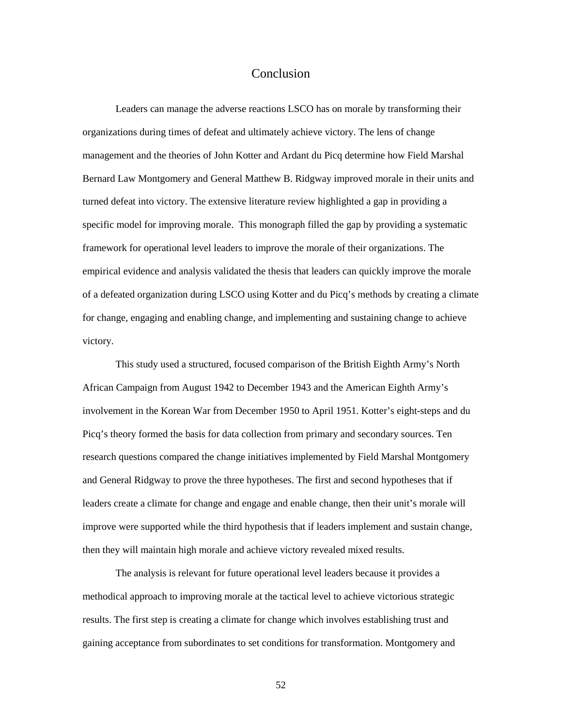#### Conclusion

 Leaders can manage the adverse reactions LSCO has on morale by transforming their organizations during times of defeat and ultimately achieve victory. The lens of change management and the theories of John Kotter and Ardant du Picq determine how Field Marshal Bernard Law Montgomery and General Matthew B. Ridgway improved morale in their units and turned defeat into victory. The extensive literature review highlighted a gap in providing a specific model for improving morale. This monograph filled the gap by providing a systematic framework for operational level leaders to improve the morale of their organizations. The empirical evidence and analysis validated the thesis that leaders can quickly improve the morale of a defeated organization during LSCO using Kotter and du Picq's methods by creating a climate for change, engaging and enabling change, and implementing and sustaining change to achieve victory.

 This study used a structured, focused comparison of the British Eighth Army's North African Campaign from August 1942 to December 1943 and the American Eighth Army's involvement in the Korean War from December 1950 to April 1951. Kotter's eight-steps and du Picq's theory formed the basis for data collection from primary and secondary sources. Ten research questions compared the change initiatives implemented by Field Marshal Montgomery and General Ridgway to prove the three hypotheses. The first and second hypotheses that if leaders create a climate for change and engage and enable change, then their unit's morale will improve were supported while the third hypothesis that if leaders implement and sustain change, then they will maintain high morale and achieve victory revealed mixed results.

The analysis is relevant for future operational level leaders because it provides a methodical approach to improving morale at the tactical level to achieve victorious strategic results. The first step is creating a climate for change which involves establishing trust and gaining acceptance from subordinates to set conditions for transformation. Montgomery and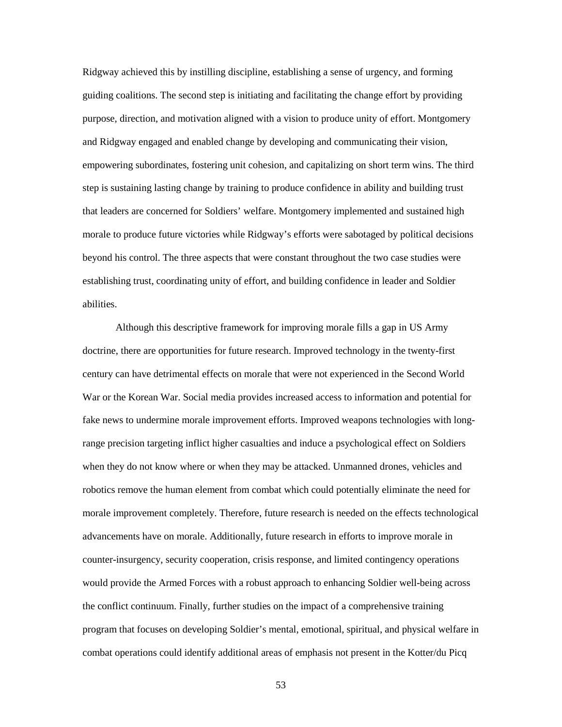Ridgway achieved this by instilling discipline, establishing a sense of urgency, and forming guiding coalitions. The second step is initiating and facilitating the change effort by providing purpose, direction, and motivation aligned with a vision to produce unity of effort. Montgomery and Ridgway engaged and enabled change by developing and communicating their vision, empowering subordinates, fostering unit cohesion, and capitalizing on short term wins. The third step is sustaining lasting change by training to produce confidence in ability and building trust that leaders are concerned for Soldiers' welfare. Montgomery implemented and sustained high morale to produce future victories while Ridgway's efforts were sabotaged by political decisions beyond his control. The three aspects that were constant throughout the two case studies were establishing trust, coordinating unity of effort, and building confidence in leader and Soldier abilities.

 Although this descriptive framework for improving morale fills a gap in US Army doctrine, there are opportunities for future research. Improved technology in the twenty-first century can have detrimental effects on morale that were not experienced in the Second World War or the Korean War. Social media provides increased access to information and potential for fake news to undermine morale improvement efforts. Improved weapons technologies with longrange precision targeting inflict higher casualties and induce a psychological effect on Soldiers when they do not know where or when they may be attacked. Unmanned drones, vehicles and robotics remove the human element from combat which could potentially eliminate the need for morale improvement completely. Therefore, future research is needed on the effects technological advancements have on morale. Additionally, future research in efforts to improve morale in counter-insurgency, security cooperation, crisis response, and limited contingency operations would provide the Armed Forces with a robust approach to enhancing Soldier well-being across the conflict continuum. Finally, further studies on the impact of a comprehensive training program that focuses on developing Soldier's mental, emotional, spiritual, and physical welfare in combat operations could identify additional areas of emphasis not present in the Kotter/du Picq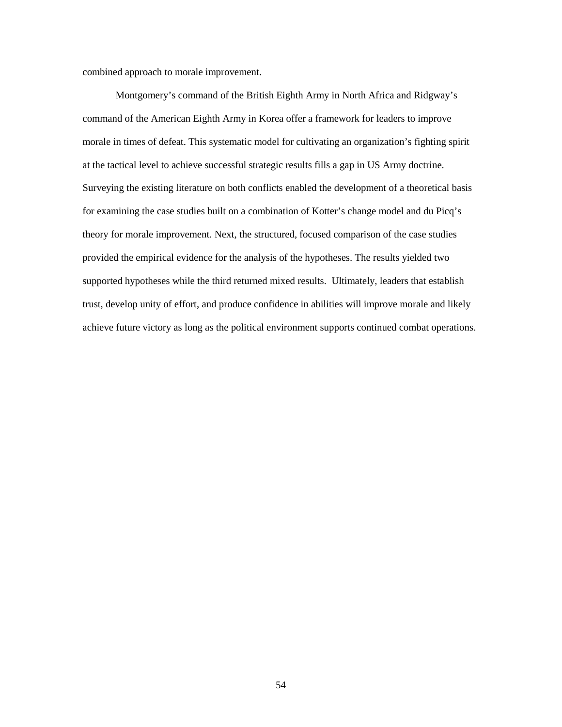combined approach to morale improvement.

 Montgomery's command of the British Eighth Army in North Africa and Ridgway's command of the American Eighth Army in Korea offer a framework for leaders to improve morale in times of defeat. This systematic model for cultivating an organization's fighting spirit at the tactical level to achieve successful strategic results fills a gap in US Army doctrine. Surveying the existing literature on both conflicts enabled the development of a theoretical basis for examining the case studies built on a combination of Kotter's change model and du Picq's theory for morale improvement. Next, the structured, focused comparison of the case studies provided the empirical evidence for the analysis of the hypotheses. The results yielded two supported hypotheses while the third returned mixed results. Ultimately, leaders that establish trust, develop unity of effort, and produce confidence in abilities will improve morale and likely achieve future victory as long as the political environment supports continued combat operations.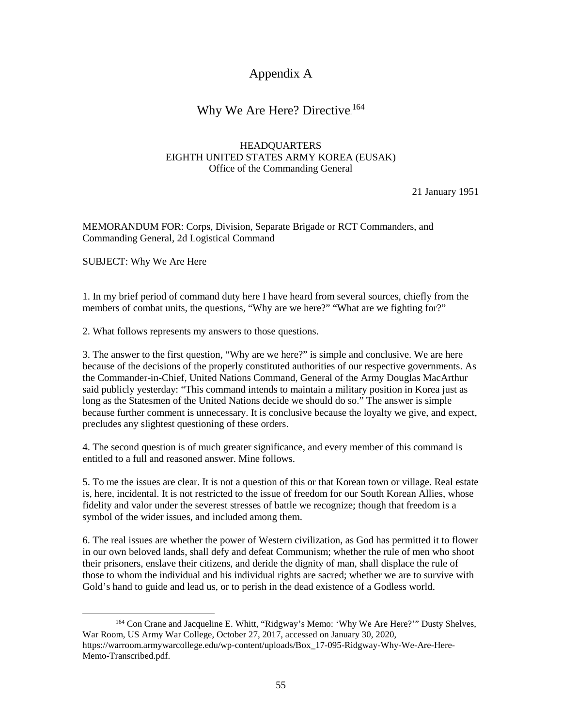# Appendix A

# Why We Are Here? Directive.<sup>164</sup>

#### HEADQUARTERS EIGHTH UNITED STATES ARMY KOREA (EUSAK) Office of the Commanding General

21 January 1951

MEMORANDUM FOR: Corps, Division, Separate Brigade or RCT Commanders, and Commanding General, 2d Logistical Command

SUBJECT: Why We Are Here

1. In my brief period of command duty here I have heard from several sources, chiefly from the members of combat units, the questions, "Why are we here?" "What are we fighting for?"

2. What follows represents my answers to those questions.

3. The answer to the first question, "Why are we here?" is simple and conclusive. We are here because of the decisions of the properly constituted authorities of our respective governments. As the Commander-in-Chief, United Nations Command, General of the Army Douglas MacArthur said publicly yesterday: "This command intends to maintain a military position in Korea just as long as the Statesmen of the United Nations decide we should do so." The answer is simple because further comment is unnecessary. It is conclusive because the loyalty we give, and expect, precludes any slightest questioning of these orders.

4. The second question is of much greater significance, and every member of this command is entitled to a full and reasoned answer. Mine follows.

5. To me the issues are clear. It is not a question of this or that Korean town or village. Real estate is, here, incidental. It is not restricted to the issue of freedom for our South Korean Allies, whose fidelity and valor under the severest stresses of battle we recognize; though that freedom is a symbol of the wider issues, and included among them.

6. The real issues are whether the power of Western civilization, as God has permitted it to flower in our own beloved lands, shall defy and defeat Communism; whether the rule of men who shoot their prisoners, enslave their citizens, and deride the dignity of man, shall displace the rule of those to whom the individual and his individual rights are sacred; whether we are to survive with Gold's hand to guide and lead us, or to perish in the dead existence of a Godless world.

 <sup>164</sup> Con Crane and Jacqueline E. Whitt, "Ridgway's Memo: 'Why We Are Here?'" Dusty Shelves, War Room, US Army War College, October 27, 2017, accessed on January 30, 2020, https://warroom.armywarcollege.edu/wp-content/uploads/Box\_17-095-Ridgway-Why-We-Are-Here-Memo-Transcribed.pdf.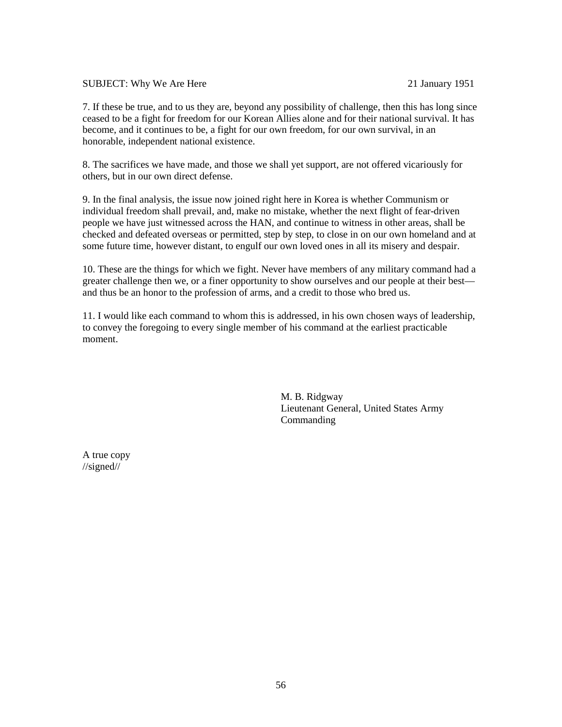#### SUBJECT: Why We Are Here 21 January 1951

7. If these be true, and to us they are, beyond any possibility of challenge, then this has long since ceased to be a fight for freedom for our Korean Allies alone and for their national survival. It has become, and it continues to be, a fight for our own freedom, for our own survival, in an honorable, independent national existence.

8. The sacrifices we have made, and those we shall yet support, are not offered vicariously for others, but in our own direct defense.

9. In the final analysis, the issue now joined right here in Korea is whether Communism or individual freedom shall prevail, and, make no mistake, whether the next flight of fear-driven people we have just witnessed across the HAN, and continue to witness in other areas, shall be checked and defeated overseas or permitted, step by step, to close in on our own homeland and at some future time, however distant, to engulf our own loved ones in all its misery and despair.

10. These are the things for which we fight. Never have members of any military command had a greater challenge then we, or a finer opportunity to show ourselves and our people at their best and thus be an honor to the profession of arms, and a credit to those who bred us.

11. I would like each command to whom this is addressed, in his own chosen ways of leadership, to convey the foregoing to every single member of his command at the earliest practicable moment.

> M. B. Ridgway Lieutenant General, United States Army Commanding

A true copy //signed//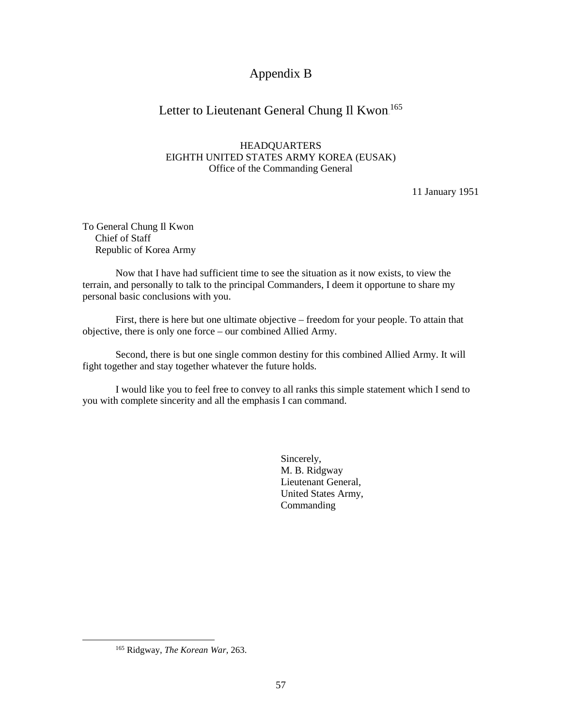# Appendix B

# Letter to Lieutenant General Chung Il Kwon.<sup>165</sup>

#### HEADQUARTERS EIGHTH UNITED STATES ARMY KOREA (EUSAK) Office of the Commanding General

11 January 1951

To General Chung Il Kwon Chief of Staff Republic of Korea Army

 Now that I have had sufficient time to see the situation as it now exists, to view the terrain, and personally to talk to the principal Commanders, I deem it opportune to share my personal basic conclusions with you.

First, there is here but one ultimate objective – freedom for your people. To attain that objective, there is only one force – our combined Allied Army.

 Second, there is but one single common destiny for this combined Allied Army. It will fight together and stay together whatever the future holds.

 I would like you to feel free to convey to all ranks this simple statement which I send to you with complete sincerity and all the emphasis I can command.

> Sincerely, M. B. Ridgway Lieutenant General, United States Army, Commanding

 <sup>165</sup> Ridgway, *The Korean War*, 263.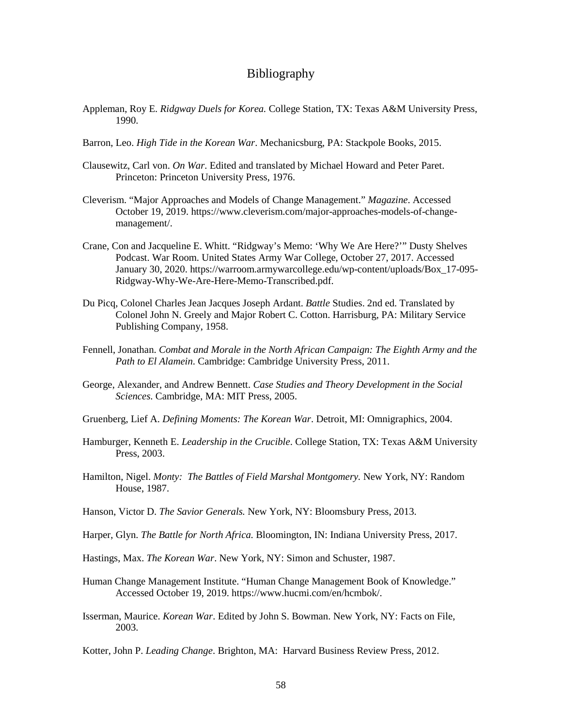#### Bibliography

- Appleman, Roy E. *Ridgway Duels for Korea.* College Station, TX: Texas A&M University Press, 1990.
- Barron, Leo. *High Tide in the Korean War*. Mechanicsburg, PA: Stackpole Books, 2015.
- Clausewitz, Carl von. *On War*. Edited and translated by Michael Howard and Peter Paret. Princeton: Princeton University Press, 1976.
- Cleverism. "Major Approaches and Models of Change Management." *Magazine*. Accessed October 19, 2019. [https://www.cleverism.com/major-approaches-models-of-change](https://www.cleverism.com/major-approaches-models-of-change-management/)[management/.](https://www.cleverism.com/major-approaches-models-of-change-management/)
- Crane, Con and Jacqueline E. Whitt. "Ridgway's Memo: 'Why We Are Here?'" Dusty Shelves Podcast. War Room. United States Army War College, October 27, 2017. Accessed January 30, 2020. [https://warroom.armywarcollege.edu/wp-content/uploads/Box\\_17-095-](https://warroom.armywarcollege.edu/wp-content/uploads/Box_17-095-Ridgway-Why-We-Are-Here-Memo-Transcribed.pdf) [Ridgway-Why-We-Are-Here-Memo-Transcribed.pdf.](https://warroom.armywarcollege.edu/wp-content/uploads/Box_17-095-Ridgway-Why-We-Are-Here-Memo-Transcribed.pdf)
- Du Picq, Colonel Charles Jean Jacques Joseph Ardant. *Battle* Studies. 2nd ed. Translated by Colonel John N. Greely and Major Robert C. Cotton. Harrisburg, PA: Military Service Publishing Company, 1958.
- Fennell, Jonathan. *Combat and Morale in the North African Campaign: The Eighth Army and the Path to El Alamein*. Cambridge: Cambridge University Press, 2011.
- George, Alexander, and Andrew Bennett. *Case Studies and Theory Development in the Social Sciences*. Cambridge, MA: MIT Press, 2005.
- Gruenberg, Lief A. *Defining Moments: The Korean War*. Detroit, MI: Omnigraphics, 2004.
- Hamburger, Kenneth E. *Leadership in the Crucible*. College Station, TX: Texas A&M University Press, 2003.
- Hamilton, Nigel. *Monty: The Battles of Field Marshal Montgomery.* New York, NY: Random House, 1987.
- Hanson, Victor D. *The Savior Generals.* New York, NY: Bloomsbury Press, 2013.
- Harper, Glyn. *The Battle for North Africa.* Bloomington, IN: Indiana University Press, 2017.
- Hastings, Max. *The Korean War*. New York, NY: Simon and Schuster, 1987.
- Human Change Management Institute. "Human Change Management Book of Knowledge." Accessed October 19, 2019. [https://www.hucmi.com/en/hcmbok/.](https://www.hucmi.com/en/hcmbok/)
- Isserman, Maurice. *Korean War*. Edited by John S. Bowman. New York, NY: Facts on File, 2003.

Kotter, John P. *Leading Change*. Brighton, MA: Harvard Business Review Press, 2012.